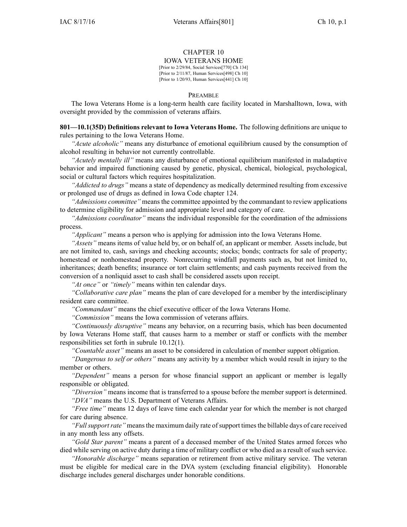# CHAPTER 10

IOWA VETERANS HOME

[Prior to 2/29/84, Social Services[770] Ch 134] [Prior to 2/11/87, Human Services[498] Ch 10] [Prior to 1/20/93, Human Services[441] Ch 10]

## PREAMBLE

The Iowa Veterans Home is <sup>a</sup> long-term health care facility located in Marshalltown, Iowa, with oversight provided by the commission of veterans affairs.

**801—10.1(35D) Definitions relevant to Iowa Veterans Home.** The following definitions are unique to rules pertaining to the Iowa Veterans Home.

*"Acute alcoholic"* means any disturbance of emotional equilibrium caused by the consumption of alcohol resulting in behavior not currently controllable.

*"Acutely mentally ill"* means any disturbance of emotional equilibrium manifested in maladaptive behavior and impaired functioning caused by genetic, physical, chemical, biological, psychological, social or cultural factors which requires hospitalization.

*"Addicted to drugs"* means <sup>a</sup> state of dependency as medically determined resulting from excessive or prolonged use of drugs as defined in Iowa Code chapter [124](https://www.legis.iowa.gov/docs/ico/chapter/124.pdf).

*"Admissions committee"* means the committee appointed by the commandant to review applications to determine eligibility for admission and appropriate level and category of care.

*"Admissions coordinator"* means the individual responsible for the coordination of the admissions process.

*"Applicant"* means <sup>a</sup> person who is applying for admission into the Iowa Veterans Home.

*"Assets"* means items of value held by, or on behalf of, an applicant or member. Assets include, but are not limited to, cash, savings and checking accounts; stocks; bonds; contracts for sale of property; homestead or nonhomestead property. Nonrecurring windfall payments such as, but not limited to, inheritances; death benefits; insurance or tort claim settlements; and cash payments received from the conversion of <sup>a</sup> nonliquid asset to cash shall be considered assets upon receipt.

*"At once"* or *"timely"* means within ten calendar days.

*"Collaborative care plan"* means the plan of care developed for <sup>a</sup> member by the interdisciplinary resident care committee.

*"Commandant"* means the chief executive officer of the Iowa Veterans Home.

*"Commission"* means the Iowa commission of veterans affairs.

*"Continuously disruptive"* means any behavior, on <sup>a</sup> recurring basis, which has been documented by Iowa Veterans Home staff, that causes harm to <sup>a</sup> member or staff or conflicts with the member responsibilities set forth in subrule 10.12(1).

*"Countable asset"* means an asset to be considered in calculation of member suppor<sup>t</sup> obligation.

*"Dangerous to self or others"* means any activity by <sup>a</sup> member which would result in injury to the member or others.

*"Dependent"* means <sup>a</sup> person for whose financial suppor<sup>t</sup> an applicant or member is legally responsible or obligated.

*"Diversion"* means income that is transferred to <sup>a</sup> spouse before the member suppor<sup>t</sup> is determined. *"DVA"* means the U.S. Department of Veterans Affairs.

*"Free time"* means 12 days of leave time each calendar year for which the member is not charged for care during absence.

*"Fullsupportrate"* meansthe maximum daily rate ofsupport timesthe billable days of care received in any month less any offsets.

*"Gold Star parent"* means <sup>a</sup> paren<sup>t</sup> of <sup>a</sup> deceased member of the United States armed forces who died while serving on active duty during a time of military conflict or who died as a result of such service.

*"Honorable discharge"* means separation or retirement from active military service. The veteran must be eligible for medical care in the DVA system (excluding financial eligibility). Honorable discharge includes general discharges under honorable conditions.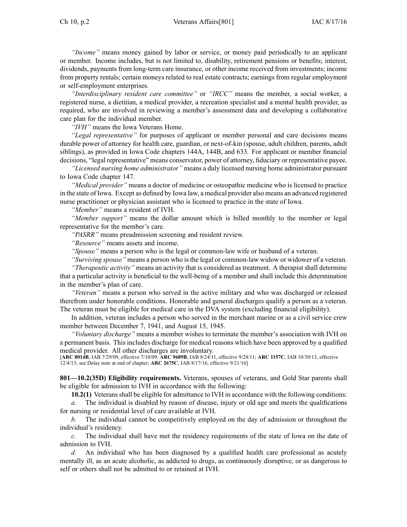*"Income"* means money gained by labor or service, or money paid periodically to an applicant or member. Income includes, but is not limited to, disability, retirement pensions or benefits; interest, dividends, payments from long-term care insurance, or other income received from investments; income from property rentals; certain moneys related to real estate contracts; earnings from regular employment or self-employment enterprises.

*"Interdisciplinary resident care committee"* or *"IRCC"* means the member, <sup>a</sup> social worker, <sup>a</sup> registered nurse, <sup>a</sup> dietitian, <sup>a</sup> medical provider, <sup>a</sup> recreation specialist and <sup>a</sup> mental health provider, as required, who are involved in reviewing <sup>a</sup> member's assessment data and developing <sup>a</sup> collaborative care plan for the individual member.

*"IVH"* means the Iowa Veterans Home.

*"Legal representative"* for purposes of applicant or member personal and care decisions means durable power of attorney for health care, guardian, or next-of-kin (spouse, adult children, parents, adult siblings), as provided in Iowa Code chapters [144A](https://www.legis.iowa.gov/docs/ico/chapter/144A.pdf), [144B](https://www.legis.iowa.gov/docs/ico/chapter/144B.pdf), and [633](https://www.legis.iowa.gov/docs/ico/chapter/633.pdf). For applicant or member financial decisions, "legal representative" means conservator, power of attorney, fiduciary or representative payee.

*"Licensed nursing home administrator"* means <sup>a</sup> duly licensed nursing home administrator pursuan<sup>t</sup> to Iowa Code chapter 147.

*"Medical provider"* means <sup>a</sup> doctor of medicine or osteopathic medicine who is licensed to practice in the state of Iowa. Except as defined by Iowa law, <sup>a</sup> medical provider also means an advanced registered nurse practitioner or physician assistant who is licensed to practice in the state of Iowa.

*"Member"* means <sup>a</sup> resident of IVH.

*"Member support"* means the dollar amount which is billed monthly to the member or legal representative for the member's care.

*"PASRR"* means preadmission screening and resident review.

*"Resource"* means assets and income.

*"Spouse"* means <sup>a</sup> person who is the legal or common-law wife or husband of <sup>a</sup> veteran.

*"Surviving spouse"* means <sup>a</sup> person who is the legal or common-law widow or widower of <sup>a</sup> veteran.

*"Therapeutic activity"* means an activity that is considered as treatment. A therapist shall determine that <sup>a</sup> particular activity is beneficial to the well-being of <sup>a</sup> member and shall include this determination in the member's plan of care.

*"Veteran"* means <sup>a</sup> person who served in the active military and who was discharged or released therefrom under honorable conditions. Honorable and general discharges qualify <sup>a</sup> person as <sup>a</sup> veteran. The veteran must be eligible for medical care in the DVA system (excluding financial eligibility).

In addition, veteran includes <sup>a</sup> person who served in the merchant marine or as <sup>a</sup> civil service crew member between December 7, 1941, and August 15, 1945.

*"Voluntary discharge"* means <sup>a</sup> member wishes to terminate the member's association with IVH on <sup>a</sup> permanen<sup>t</sup> basis. This includes discharge for medical reasons which have been approved by <sup>a</sup> qualified medical provider. All other discharges are involuntary.

[**ARC 8014B**, IAB 7/29/09, effective 7/10/09; **ARC 9689B**, IAB 8/24/11, effective 9/28/11; **ARC 1157C**, IAB 10/30/13, effective 12/4/13; see Delay note at end of chapter; **ARC 2675C**, IAB 8/17/16, effective 9/21/16]

**801—10.2(35D) Eligibility requirements.** Veterans, spouses of veterans, and Gold Star parents shall be eligible for admission to IVH in accordance with the following:

**10.2(1)** Veteransshall be eligible for admittance to IVH in accordance with the following conditions:

*a.* The individual is disabled by reason of disease, injury or old age and meets the qualifications for nursing or residential level of care available at IVH.

*b.* The individual cannot be competitively employed on the day of admission or throughout the individual's residency.

*c.* The individual shall have met the residency requirements of the state of Iowa on the date of admission to IVH.

*d.* An individual who has been diagnosed by <sup>a</sup> qualified health care professional as acutely mentally ill, as an acute alcoholic, as addicted to drugs, as continuously disruptive, or as dangerous to self or others shall not be admitted to or retained at IVH.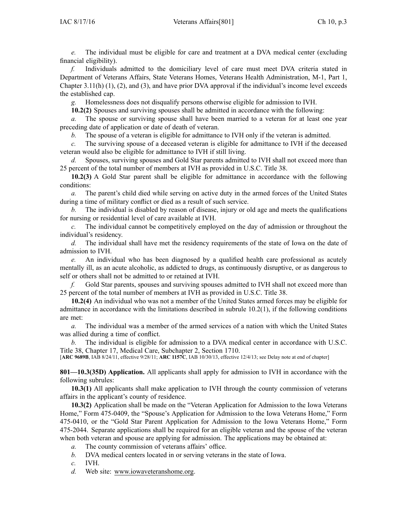*e.* The individual must be eligible for care and treatment at <sup>a</sup> DVA medical center (excluding financial eligibility).

*f.* Individuals admitted to the domiciliary level of care must meet DVA criteria stated in Department of Veterans Affairs, State Veterans Homes, Veterans Health Administration, M-1, Part 1, Chapter 3.11(h)  $(1)$ ,  $(2)$ , and  $(3)$ , and have prior DVA approval if the individual's income level exceeds the established cap.

*g.* Homelessness does not disqualify persons otherwise eligible for admission to IVH.

**10.2(2)** Spouses and surviving spouses shall be admitted in accordance with the following:

*a.* The spouse or surviving spouse shall have been married to <sup>a</sup> veteran for at least one year preceding date of application or date of death of veteran.

*b.* The spouse of <sup>a</sup> veteran is eligible for admittance to IVH only if the veteran is admitted.

*c.* The surviving spouse of <sup>a</sup> deceased veteran is eligible for admittance to IVH if the deceased veteran would also be eligible for admittance to IVH if still living.

*d.* Spouses, surviving spouses and Gold Star parents admitted to IVH shall not exceed more than 25 percen<sup>t</sup> of the total number of members at IVH as provided in U.S.C. Title 38.

**10.2(3)** A Gold Star paren<sup>t</sup> shall be eligible for admittance in accordance with the following conditions:

*a.* The parent's child died while serving on active duty in the armed forces of the United States during <sup>a</sup> time of military conflict or died as <sup>a</sup> result of such service.

*b.* The individual is disabled by reason of disease, injury or old age and meets the qualifications for nursing or residential level of care available at IVH.

*c.* The individual cannot be competitively employed on the day of admission or throughout the individual's residency.

*d.* The individual shall have met the residency requirements of the state of Iowa on the date of admission to IVH.

*e.* An individual who has been diagnosed by <sup>a</sup> qualified health care professional as acutely mentally ill, as an acute alcoholic, as addicted to drugs, as continuously disruptive, or as dangerous to self or others shall not be admitted to or retained at IVH.

*f.* Gold Star parents, spouses and surviving spouses admitted to IVH shall not exceed more than 25 percen<sup>t</sup> of the total number of members at IVH as provided in U.S.C. Title 38.

**10.2(4)** An individual who was not <sup>a</sup> member of the United States armed forces may be eligible for admittance in accordance with the limitations described in subrule 10.2(1), if the following conditions are met:

*a.* The individual was <sup>a</sup> member of the armed services of <sup>a</sup> nation with which the United States was allied during <sup>a</sup> time of conflict.

The individual is eligible for admission to a DVA medical center in accordance with U.S.C. Title 38, Chapter 17, Medical Care, Subchapter 2, Section 1710.

[**ARC 9689B**, IAB 8/24/11, effective 9/28/11; **ARC 1157C**, IAB 10/30/13, effective 12/4/13; see Delay note at end of chapter]

**801—10.3(35D) Application.** All applicants shall apply for admission to IVH in accordance with the following subrules:

**10.3(1)** All applicants shall make application to IVH through the county commission of veterans affairs in the applicant's county of residence.

**10.3(2)** Application shall be made on the "Veteran Application for Admission to the Iowa Veterans Home," Form 475-0409, the "Spouse's Application for Admission to the Iowa Veterans Home," Form 475-0410, or the "Gold Star Parent Application for Admission to the Iowa Veterans Home," Form 475-2044. Separate applications shall be required for an eligible veteran and the spouse of the veteran when both veteran and spouse are applying for admission. The applications may be obtained at:

- *a.* The county commission of veterans affairs' office.
- *b.* DVA medical centers located in or serving veterans in the state of Iowa.

*c.* IVH.

*d.* Web site: [www.iowaveteranshome.org](http://www.iowaveteranshome.org).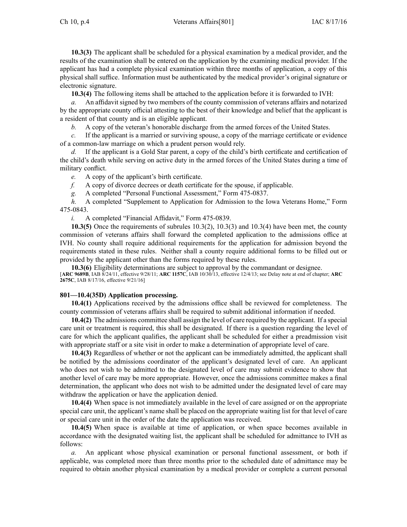**10.3(3)** The applicant shall be scheduled for <sup>a</sup> physical examination by <sup>a</sup> medical provider, and the results of the examination shall be entered on the application by the examining medical provider. If the applicant has had <sup>a</sup> complete physical examination within three months of application, <sup>a</sup> copy of this physical shall suffice. Information must be authenticated by the medical provider's original signature or electronic signature.

**10.3(4)** The following items shall be attached to the application before it is forwarded to IVH:

*a.* An affidavit signed by two members of the county commission of veterans affairs and notarized by the appropriate county official attesting to the best of their knowledge and belief that the applicant is <sup>a</sup> resident of that county and is an eligible applicant.

*b.* A copy of the veteran's honorable discharge from the armed forces of the United States.

*c.* If the applicant is <sup>a</sup> married or surviving spouse, <sup>a</sup> copy of the marriage certificate or evidence of <sup>a</sup> common-law marriage on which <sup>a</sup> prudent person would rely.

*d.* If the applicant is a Gold Star parent, a copy of the child's birth certificate and certification of the child's death while serving on active duty in the armed forces of the United States during <sup>a</sup> time of military conflict.

*e.* A copy of the applicant's birth certificate.

*f.* A copy of divorce decrees or death certificate for the spouse, if applicable.

*g.* A completed "Personal Functional Assessment," Form 475-0837.

*h.* A completed "Supplement to Application for Admission to the Iowa Veterans Home," Form 475-0843.

*i.* A completed "Financial Affidavit," Form 475-0839.

**10.3(5)** Once the requirements of subrules 10.3(2), 10.3(3) and 10.3(4) have been met, the county commission of veterans affairs shall forward the completed application to the admissions office at IVH. No county shall require additional requirements for the application for admission beyond the requirements stated in these rules. Neither shall <sup>a</sup> county require additional forms to be filled out or provided by the applicant other than the forms required by these rules.

**10.3(6)** Eligibility determinations are subject to approval by the commandant or designee. [**ARC 9689B**, IAB 8/24/11, effective 9/28/11; **ARC 1157C**, IAB 10/30/13, effective 12/4/13; see Delay note at end of chapter; **ARC 2675C**, IAB 8/17/16, effective 9/21/16]

## **801—10.4(35D) Application processing.**

**10.4(1)** Applications received by the admissions office shall be reviewed for completeness. The county commission of veterans affairs shall be required to submit additional information if needed.

**10.4(2)** The admissions committee shall assign the level of care required by the applicant. If <sup>a</sup> special care unit or treatment is required, this shall be designated. If there is <sup>a</sup> question regarding the level of care for which the applicant qualifies, the applicant shall be scheduled for either <sup>a</sup> preadmission visit with appropriate staff or <sup>a</sup> site visit in order to make <sup>a</sup> determination of appropriate level of care.

**10.4(3)** Regardless of whether or not the applicant can be immediately admitted, the applicant shall be notified by the admissions coordinator of the applicant's designated level of care. An applicant who does not wish to be admitted to the designated level of care may submit evidence to show that another level of care may be more appropriate. However, once the admissions committee makes <sup>a</sup> final determination, the applicant who does not wish to be admitted under the designated level of care may withdraw the application or have the application denied.

**10.4(4)** When space is not immediately available in the level of care assigned or on the appropriate special care unit, the applicant's name shall be placed on the appropriate waiting list for that level of care or special care unit in the order of the date the application was received.

**10.4(5)** When space is available at time of application, or when space becomes available in accordance with the designated waiting list, the applicant shall be scheduled for admittance to IVH as follows:

*a.* An applicant whose physical examination or personal functional assessment, or both if applicable, was completed more than three months prior to the scheduled date of admittance may be required to obtain another physical examination by <sup>a</sup> medical provider or complete <sup>a</sup> current personal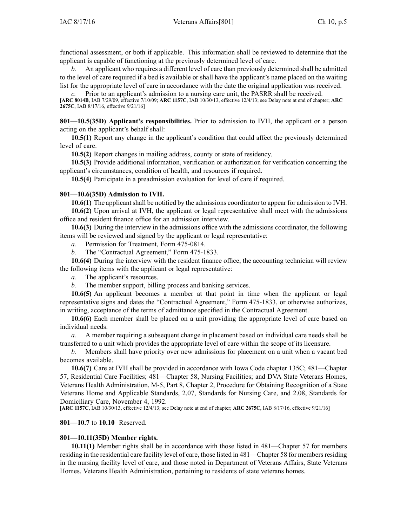functional assessment, or both if applicable. This information shall be reviewed to determine that the applicant is capable of functioning at the previously determined level of care.

*b.* An applicant who requires <sup>a</sup> different level of care than previously determined shall be admitted to the level of care required if <sup>a</sup> bed is available or shall have the applicant's name placed on the waiting list for the appropriate level of care in accordance with the date the original application was received.

*c.* Prior to an applicant's admission to <sup>a</sup> nursing care unit, the PASRR shall be received. [**ARC 8014B**, IAB 7/29/09, effective 7/10/09; **ARC 1157C**, IAB 10/30/13, effective 12/4/13; see Delay note at end of chapter; **ARC 2675C**, IAB 8/17/16, effective 9/21/16]

**801—10.5(35D) Applicant's responsibilities.** Prior to admission to IVH, the applicant or <sup>a</sup> person acting on the applicant's behalf shall:

**10.5(1)** Report any change in the applicant's condition that could affect the previously determined level of care.

**10.5(2)** Report changes in mailing address, county or state of residency.

**10.5(3)** Provide additional information, verification or authorization for verification concerning the applicant's circumstances, condition of health, and resources if required.

**10.5(4)** Participate in <sup>a</sup> preadmission evaluation for level of care if required.

### **801—10.6(35D) Admission to IVH.**

**10.6(1)** The applicantshall be notified by the admissions coordinator to appear for admission to IVH. **10.6(2)** Upon arrival at IVH, the applicant or legal representative shall meet with the admissions office and resident finance office for an admission interview.

**10.6(3)** During the interview in the admissions office with the admissions coordinator, the following items will be reviewed and signed by the applicant or legal representative:

*a.* Permission for Treatment, Form 475-0814.

*b.* The "Contractual Agreement," Form 475-1833.

**10.6(4)** During the interview with the resident finance office, the accounting technician will review the following items with the applicant or legal representative:

*a.* The applicant's resources.

*b.* The member support, billing process and banking services.

**10.6(5)** An applicant becomes <sup>a</sup> member at that point in time when the applicant or legal representative signs and dates the "Contractual Agreement," Form 475-1833, or otherwise authorizes, in writing, acceptance of the terms of admittance specified in the Contractual Agreement.

**10.6(6)** Each member shall be placed on <sup>a</sup> unit providing the appropriate level of care based on individual needs.

*a.* A member requiring <sup>a</sup> subsequent change in placement based on individual care needs shall be transferred to <sup>a</sup> unit which provides the appropriate level of care within the scope of its licensure.

*b.* Members shall have priority over new admissions for placement on <sup>a</sup> unit when <sup>a</sup> vacant bed becomes available.

**10.6(7)** Care at IVH shall be provided in accordance with Iowa Code chapter [135C](https://www.legis.iowa.gov/docs/ico/chapter/135C.pdf); 481—Chapter 57, Residential Care Facilities; 481—Chapter 58, Nursing Facilities; and DVA State Veterans Homes, Veterans Health Administration, M-5, Part 8, Chapter 2, Procedure for Obtaining Recognition of <sup>a</sup> State Veterans Home and Applicable Standards, 2.07, Standards for Nursing Care, and 2.08, Standards for Domiciliary Care, November 4, 1992.

[**ARC 1157C**, IAB 10/30/13, effective 12/4/13; see Delay note at end of chapter; **ARC 2675C**, IAB 8/17/16, effective 9/21/16]

### **801—10.7** to **10.10** Reserved.

### **801—10.11(35D) Member rights.**

**10.11(1)** Member rights shall be in accordance with those listed in 481—Chapter 57 for members residing in the residential care facility level of care, those listed in 481—Chapter 58 for membersresiding in the nursing facility level of care, and those noted in Department of Veterans Affairs, State Veterans Homes, Veterans Health Administration, pertaining to residents of state veterans homes.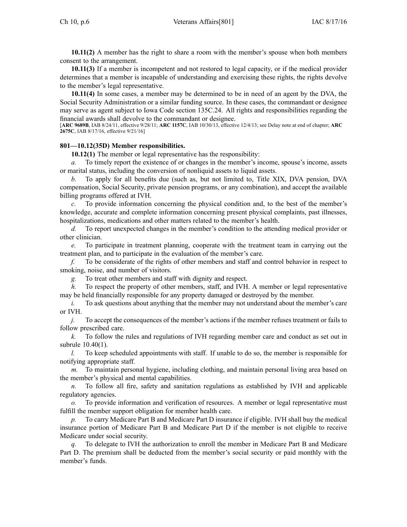**10.11(2)** A member has the right to share <sup>a</sup> room with the member's spouse when both members consent to the arrangement.

**10.11(3)** If <sup>a</sup> member is incompetent and not restored to legal capacity, or if the medical provider determines that <sup>a</sup> member is incapable of understanding and exercising these rights, the rights devolve to the member's legal representative.

**10.11(4)** In some cases, <sup>a</sup> member may be determined to be in need of an agen<sup>t</sup> by the DVA, the Social Security Administration or <sup>a</sup> similar funding source. In these cases, the commandant or designee may serve as agen<sup>t</sup> subject to Iowa Code section [135C.24](https://www.legis.iowa.gov/docs/ico/section/135C.24.pdf). All rights and responsibilities regarding the financial awards shall devolve to the commandant or designee.

[**ARC 9689B**, IAB 8/24/11, effective 9/28/11; **ARC 1157C**, IAB 10/30/13, effective 12/4/13; see Delay note at end of chapter; **ARC 2675C**, IAB 8/17/16, effective 9/21/16]

### **801—10.12(35D) Member responsibilities.**

**10.12(1)** The member or legal representative has the responsibility:

*a.* To timely repor<sup>t</sup> the existence of or changes in the member's income, spouse's income, assets or marital status, including the conversion of nonliquid assets to liquid assets.

*b.* To apply for all benefits due (such as, but not limited to, Title XIX, DVA pension, DVA compensation, Social Security, private pension programs, or any combination), and accep<sup>t</sup> the available billing programs offered at IVH.

*c.* To provide information concerning the physical condition and, to the best of the member's knowledge, accurate and complete information concerning presen<sup>t</sup> physical complaints, pas<sup>t</sup> illnesses, hospitalizations, medications and other matters related to the member's health.

*d.* To repor<sup>t</sup> unexpected changes in the member's condition to the attending medical provider or other clinician.

*e.* To participate in treatment planning, cooperate with the treatment team in carrying out the treatment plan, and to participate in the evaluation of the member's care.

*f.* To be considerate of the rights of other members and staff and control behavior in respec<sup>t</sup> to smoking, noise, and number of visitors.

*g.* To treat other members and staff with dignity and respect.

*h.* To respec<sup>t</sup> the property of other members, staff, and IVH. A member or legal representative may be held financially responsible for any property damaged or destroyed by the member.

*i.* To ask questions about anything that the member may not understand about the member's care or IVH.

*j.* To accep<sup>t</sup> the consequences of the member's actions if the member refuses treatment or fails to follow prescribed care.

*k.* To follow the rules and regulations of IVH regarding member care and conduct as set out in subrule 10.40(1).

*l.* To keep scheduled appointments with staff. If unable to do so, the member is responsible for notifying appropriate staff.

*m.* To maintain personal hygiene, including clothing, and maintain personal living area based on the member's physical and mental capabilities.

*n.* To follow all fire, safety and sanitation regulations as established by IVH and applicable regulatory agencies.

*o.* To provide information and verification of resources. A member or legal representative must fulfill the member suppor<sup>t</sup> obligation for member health care.

*p.* To carry Medicare Part B and Medicare Part D insurance if eligible. IVH shall buy the medical insurance portion of Medicare Part B and Medicare Part D if the member is not eligible to receive Medicare under social security.

*q.* To delegate to IVH the authorization to enroll the member in Medicare Part B and Medicare Part D. The premium shall be deducted from the member's social security or paid monthly with the member's funds.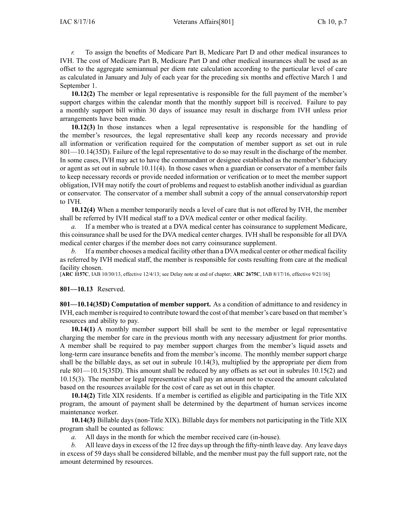*r.* To assign the benefits of Medicare Part B, Medicare Part D and other medical insurances to IVH. The cost of Medicare Part B, Medicare Part D and other medical insurances shall be used as an offset to the aggregate semiannual per diem rate calculation according to the particular level of care as calculated in January and July of each year for the preceding six months and effective March 1 and September 1.

**10.12(2)** The member or legal representative is responsible for the full paymen<sup>t</sup> of the member's support charges within the calendar month that the monthly support bill is received. Failure to pay <sup>a</sup> monthly suppor<sup>t</sup> bill within 30 days of issuance may result in discharge from IVH unless prior arrangements have been made.

**10.12(3)** In those instances when <sup>a</sup> legal representative is responsible for the handling of the member's resources, the legal representative shall keep any records necessary and provide all information or verification required for the computation of member suppor<sup>t</sup> as set out in rule 801—10.14(35D). Failure of the legal representative to do so may result in the discharge of the member. In some cases, IVH may act to have the commandant or designee established as the member's fiduciary or agen<sup>t</sup> as set out in subrule 10.11(4). In those cases when <sup>a</sup> guardian or conservator of <sup>a</sup> member fails to keep necessary records or provide needed information or verification or to meet the member suppor<sup>t</sup> obligation, IVH may notify the court of problems and reques<sup>t</sup> to establish another individual as guardian or conservator. The conservator of <sup>a</sup> member shall submit <sup>a</sup> copy of the annual conservatorship repor<sup>t</sup> to IVH.

**10.12(4)** When <sup>a</sup> member temporarily needs <sup>a</sup> level of care that is not offered by IVH, the member shall be referred by IVH medical staff to <sup>a</sup> DVA medical center or other medical facility.

*a.* If <sup>a</sup> member who is treated at <sup>a</sup> DVA medical center has coinsurance to supplement Medicare, this coinsurance shall be used for the DVA medical center charges. IVH shall be responsible for all DVA medical center charges if the member does not carry coinsurance supplement.

*b.* If <sup>a</sup> member chooses <sup>a</sup> medical facility other than <sup>a</sup> DVA medical center or other medical facility as referred by IVH medical staff, the member is responsible for costs resulting from care at the medical facility chosen

[**ARC 1157C**, IAB 10/30/13, effective 12/4/13; see Delay note at end of chapter; **ARC 2675C**, IAB 8/17/16, effective 9/21/16]

### **801—10.13** Reserved.

**801—10.14(35D) Computation of member support.** As <sup>a</sup> condition of admittance to and residency in IVH, each member isrequired to contribute toward the cost of that member's care based on that member's resources and ability to pay.

**10.14(1)** A monthly member suppor<sup>t</sup> bill shall be sent to the member or legal representative charging the member for care in the previous month with any necessary adjustment for prior months. A member shall be required to pay member suppor<sup>t</sup> charges from the member's liquid assets and long-term care insurance benefits and from the member's income. The monthly member suppor<sup>t</sup> charge shall be the billable days, as set out in subrule 10.14(3), multiplied by the appropriate per diem from rule 801—10.15(35D). This amount shall be reduced by any offsets as set out in subrules 10.15(2) and 10.15(3). The member or legal representative shall pay an amount not to exceed the amount calculated based on the resources available for the cost of care as set out in this chapter.

**10.14(2)** Title XIX residents. If <sup>a</sup> member is certified as eligible and participating in the Title XIX program, the amount of paymen<sup>t</sup> shall be determined by the department of human services income maintenance worker.

**10.14(3)** Billable days (non-Title XIX). Billable days for members not participating in the Title XIX program shall be counted as follows:

*a.* All days in the month for which the member received care (in-house).

*b.* All leave days in excess of the 12 free days up through the fifty-ninth leave day. Any leave days in excess of 59 days shall be considered billable, and the member must pay the full suppor<sup>t</sup> rate, not the amount determined by resources.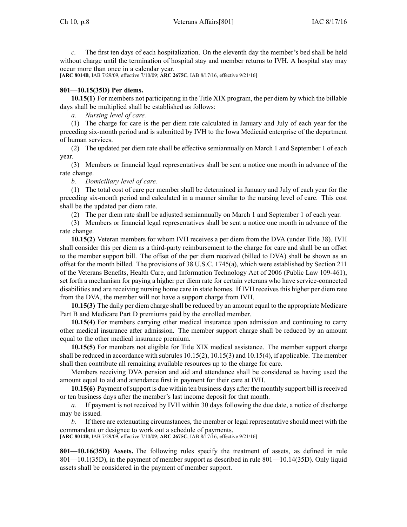*c.* The first ten days of each hospitalization. On the eleventh day the member's bed shall be held without charge until the termination of hospital stay and member returns to IVH. A hospital stay may occur more than once in <sup>a</sup> calendar year.

[**ARC 8014B**, IAB 7/29/09, effective 7/10/09; **ARC 2675C**, IAB 8/17/16, effective 9/21/16]

### **801—10.15(35D) Per diems.**

**10.15(1)** For members not participating in the Title XIX program, the per diem by which the billable days shall be multiplied shall be established as follows:

*a. Nursing level of care.*

(1) The charge for care is the per diem rate calculated in January and July of each year for the preceding six-month period and is submitted by IVH to the Iowa Medicaid enterprise of the department of human services.

(2) The updated per diem rate shall be effective semiannually on March 1 and September 1 of each year.

(3) Members or financial legal representatives shall be sent <sup>a</sup> notice one month in advance of the rate change.

*b. Domiciliary level of care.*

(1) The total cost of care per member shall be determined in January and July of each year for the preceding six-month period and calculated in <sup>a</sup> manner similar to the nursing level of care. This cost shall be the updated per diem rate.

(2) The per diem rate shall be adjusted semiannually on March 1 and September 1 of each year.

(3) Members or financial legal representatives shall be sent <sup>a</sup> notice one month in advance of the rate change.

**10.15(2)** Veteran members for whom IVH receives <sup>a</sup> per diem from the DVA (under Title 38). IVH shall consider this per diem as <sup>a</sup> third-party reimbursement to the charge for care and shall be an offset to the member suppor<sup>t</sup> bill. The offset of the per diem received (billed to DVA) shall be shown as an offset for the month billed. The provisions of 38 U.S.C. 1745(a), which were established by Section 211 of the Veterans Benefits, Health Care, and Information Technology Act of 2006 (Public Law 109-461), set forth <sup>a</sup> mechanism for paying <sup>a</sup> higher per diem rate for certain veterans who have service-connected disabilities and are receiving nursing home care in state homes. If IVH receives this higher per diem rate from the DVA, the member will not have <sup>a</sup> suppor<sup>t</sup> charge from IVH.

**10.15(3)** The daily per diem charge shall be reduced by an amount equal to the appropriate Medicare Part B and Medicare Part D premiums paid by the enrolled member.

**10.15(4)** For members carrying other medical insurance upon admission and continuing to carry other medical insurance after admission. The member suppor<sup>t</sup> charge shall be reduced by an amount equal to the other medical insurance premium.

**10.15(5)** For members not eligible for Title XIX medical assistance. The member suppor<sup>t</sup> charge shall be reduced in accordance with subrules 10.15(2), 10.15(3) and 10.15(4), if applicable. The member shall then contribute all remaining available resources up to the charge for care.

Members receiving DVA pension and aid and attendance shall be considered as having used the amount equal to aid and attendance first in paymen<sup>t</sup> for their care at IVH.

**10.15(6)** Payment ofsupport is due within ten business days after the monthly suppor<sup>t</sup> bill isreceived or ten business days after the member's last income deposit for that month.

*a.* If paymen<sup>t</sup> is not received by IVH within 30 days following the due date, <sup>a</sup> notice of discharge may be issued.

*b.* If there are extenuating circumstances, the member or legal representative should meet with the commandant or designee to work out <sup>a</sup> schedule of payments.

[**ARC 8014B**, IAB 7/29/09, effective 7/10/09; **ARC 2675C**, IAB 8/17/16, effective 9/21/16]

**801—10.16(35D) Assets.** The following rules specify the treatment of assets, as defined in rule 801—10.1(35D), in the paymen<sup>t</sup> of member suppor<sup>t</sup> as described in rule 801—10.14(35D). Only liquid assets shall be considered in the paymen<sup>t</sup> of member support.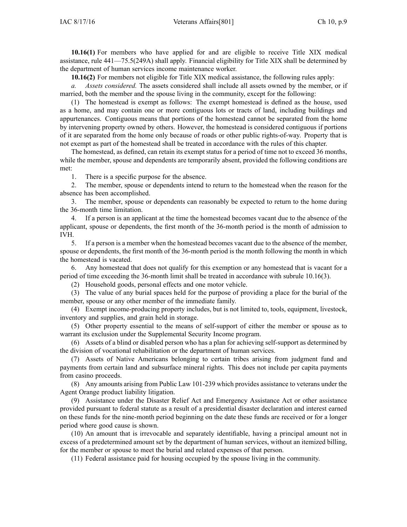**10.16(1)** For members who have applied for and are eligible to receive Title XIX medical assistance, rule 441—75.5(249A) shall apply. Financial eligibility for Title XIX shall be determined by the department of human services income maintenance worker.

**10.16(2)** For members not eligible for Title XIX medical assistance, the following rules apply:

*a. Assets considered.* The assets considered shall include all assets owned by the member, or if married, both the member and the spouse living in the community, excep<sup>t</sup> for the following:

(1) The homestead is exemp<sup>t</sup> as follows: The exemp<sup>t</sup> homestead is defined as the house, used as <sup>a</sup> home, and may contain one or more contiguous lots or tracts of land, including buildings and appurtenances. Contiguous means that portions of the homestead cannot be separated from the home by intervening property owned by others. However, the homestead is considered contiguous if portions of it are separated from the home only because of roads or other public rights-of-way. Property that is not exemp<sup>t</sup> as par<sup>t</sup> of the homestead shall be treated in accordance with the rules of this chapter.

The homestead, as defined, can retain its exemp<sup>t</sup> status for <sup>a</sup> period of time not to exceed 36 months, while the member, spouse and dependents are temporarily absent, provided the following conditions are met:

1. There is <sup>a</sup> specific purpose for the absence.

2. The member, spouse or dependents intend to return to the homestead when the reason for the absence has been accomplished.

3. The member, spouse or dependents can reasonably be expected to return to the home during the 36-month time limitation.

4. If <sup>a</sup> person is an applicant at the time the homestead becomes vacant due to the absence of the applicant, spouse or dependents, the first month of the 36-month period is the month of admission to IVH.

5. If <sup>a</sup> person is <sup>a</sup> member when the homestead becomes vacant due to the absence of the member, spouse or dependents, the first month of the 36-month period is the month following the month in which the homestead is vacated.

6. Any homestead that does not qualify for this exemption or any homestead that is vacant for <sup>a</sup> period of time exceeding the 36-month limit shall be treated in accordance with subrule 10.16(3).

(2) Household goods, personal effects and one motor vehicle.

(3) The value of any burial spaces held for the purpose of providing <sup>a</sup> place for the burial of the member, spouse or any other member of the immediate family.

(4) Exempt income-producing property includes, but is not limited to, tools, equipment, livestock, inventory and supplies, and grain held in storage.

(5) Other property essential to the means of self-support of either the member or spouse as to warrant its exclusion under the Supplemental Security Income program.

(6) Assets of <sup>a</sup> blind or disabled person who has <sup>a</sup> plan for achieving self-support as determined by the division of vocational rehabilitation or the department of human services.

(7) Assets of Native Americans belonging to certain tribes arising from judgment fund and payments from certain land and subsurface mineral rights. This does not include per capita payments from casino proceeds.

(8) Any amounts arising from Public Law 101-239 which provides assistance to veterans under the Agent Orange product liability litigation.

(9) Assistance under the Disaster Relief Act and Emergency Assistance Act or other assistance provided pursuan<sup>t</sup> to federal statute as <sup>a</sup> result of <sup>a</sup> presidential disaster declaration and interest earned on these funds for the nine-month period beginning on the date these funds are received or for <sup>a</sup> longer period where good cause is shown.

(10) An amount that is irrevocable and separately identifiable, having <sup>a</sup> principal amount not in excess of <sup>a</sup> predetermined amount set by the department of human services, without an itemized billing, for the member or spouse to meet the burial and related expenses of that person.

(11) Federal assistance paid for housing occupied by the spouse living in the community.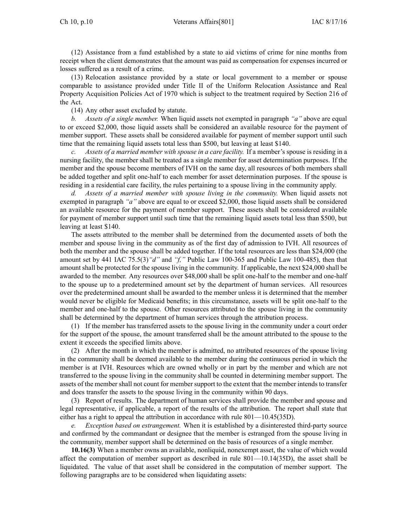(12) Assistance from <sup>a</sup> fund established by <sup>a</sup> state to aid victims of crime for nine months from receipt when the client demonstrates that the amount was paid as compensation for expenses incurred or losses suffered as <sup>a</sup> result of <sup>a</sup> crime.

(13) Relocation assistance provided by <sup>a</sup> state or local governmen<sup>t</sup> to <sup>a</sup> member or spouse comparable to assistance provided under Title II of the Uniform Relocation Assistance and Real Property Acquisition Policies Act of 1970 which is subject to the treatment required by Section 216 of the Act.

(14) Any other asset excluded by statute.

*b. Assets of <sup>a</sup> single member.* When liquid assets not exempted in paragraph *"a"* above are equal to or exceed \$2,000, those liquid assets shall be considered an available resource for the paymen<sup>t</sup> of member support. These assets shall be considered available for paymen<sup>t</sup> of member suppor<sup>t</sup> until such time that the remaining liquid assets total less than \$500, but leaving at least \$140.

*c. Assets of <sup>a</sup> married member with spouse in <sup>a</sup> care facility.* If <sup>a</sup> member's spouse is residing in <sup>a</sup> nursing facility, the member shall be treated as <sup>a</sup> single member for asset determination purposes. If the member and the spouse become members of IVH on the same day, all resources of both members shall be added together and split one-half to each member for asset determination purposes. If the spouse is residing in <sup>a</sup> residential care facility, the rules pertaining to <sup>a</sup> spouse living in the community apply.

*d. Assets of <sup>a</sup> married member with spouse living in the community.* When liquid assets not exempted in paragraph *"a"* above are equal to or exceed \$2,000, those liquid assets shall be considered an available resource for the paymen<sup>t</sup> of member support. These assets shall be considered available for paymen<sup>t</sup> of member suppor<sup>t</sup> until such time that the remaining liquid assets total less than \$500, but leaving at least \$140.

The assets attributed to the member shall be determined from the documented assets of both the member and spouse living in the community as of the first day of admission to IVH. All resources of both the member and the spouse shall be added together. If the total resources are less than \$24,000 (the amount set by 441 IAC 75.5(3)*"d"* and *"f,"* Public Law 100-365 and Public Law 100-485), then that amount shall be protected for the spouse living in the community. If applicable, the next \$24,000 shall be awarded to the member. Any resources over \$48,000 shall be split one-half to the member and one-half to the spouse up to <sup>a</sup> predetermined amount set by the department of human services. All resources over the predetermined amount shall be awarded to the member unless it is determined that the member would never be eligible for Medicaid benefits; in this circumstance, assets will be split one-half to the member and one-half to the spouse. Other resources attributed to the spouse living in the community shall be determined by the department of human services through the attribution process.

(1) If the member has transferred assets to the spouse living in the community under <sup>a</sup> court order for the suppor<sup>t</sup> of the spouse, the amount transferred shall be the amount attributed to the spouse to the extent it exceeds the specified limits above.

(2) After the month in which the member is admitted, no attributed resources of the spouse living in the community shall be deemed available to the member during the continuous period in which the member is at IVH. Resources which are owned wholly or in par<sup>t</sup> by the member and which are not transferred to the spouse living in the community shall be counted in determining member support. The assets of the member shall not count for member suppor<sup>t</sup> to the extent that the member intends to transfer and does transfer the assets to the spouse living in the community within 90 days.

(3) Report of results. The department of human services shall provide the member and spouse and legal representative, if applicable, <sup>a</sup> repor<sup>t</sup> of the results of the attribution. The repor<sup>t</sup> shall state that either has <sup>a</sup> right to appeal the attribution in accordance with rule 801—10.45(35D).

*e. Exception based on estrangement.* When it is established by <sup>a</sup> disinterested third-party source and confirmed by the commandant or designee that the member is estranged from the spouse living in the community, member suppor<sup>t</sup> shall be determined on the basis of resources of <sup>a</sup> single member.

**10.16(3)** When <sup>a</sup> member owns an available, nonliquid, nonexemp<sup>t</sup> asset, the value of which would affect the computation of member suppor<sup>t</sup> as described in rule 801—10.14(35D), the asset shall be liquidated. The value of that asset shall be considered in the computation of member support. The following paragraphs are to be considered when liquidating assets: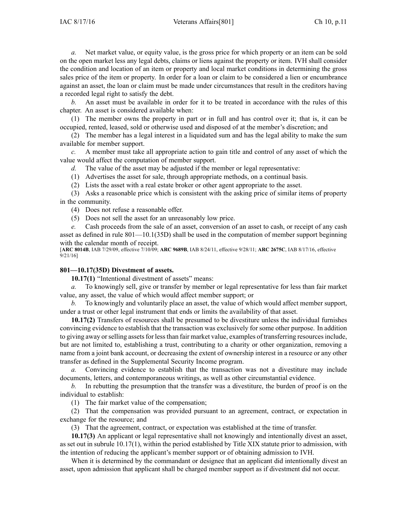*a.* Net market value, or equity value, is the gross price for which property or an item can be sold on the open market less any legal debts, claims or liens against the property or item. IVH shall consider the condition and location of an item or property and local market conditions in determining the gross sales price of the item or property. In order for <sup>a</sup> loan or claim to be considered <sup>a</sup> lien or encumbrance against an asset, the loan or claim must be made under circumstances that result in the creditors having <sup>a</sup> recorded legal right to satisfy the debt.

*b.* An asset must be available in order for it to be treated in accordance with the rules of this chapter. An asset is considered available when:

(1) The member owns the property in par<sup>t</sup> or in full and has control over it; that is, it can be occupied, rented, leased, sold or otherwise used and disposed of at the member's discretion; and

(2) The member has <sup>a</sup> legal interest in <sup>a</sup> liquidated sum and has the legal ability to make the sum available for member support.

*c.* A member must take all appropriate action to gain title and control of any asset of which the value would affect the computation of member support.

*d.* The value of the asset may be adjusted if the member or legal representative:

(1) Advertises the asset for sale, through appropriate methods, on <sup>a</sup> continual basis.

(2) Lists the asset with <sup>a</sup> real estate broker or other agen<sup>t</sup> appropriate to the asset.

(3) Asks <sup>a</sup> reasonable price which is consistent with the asking price of similar items of property in the community.

(4) Does not refuse <sup>a</sup> reasonable offer.

(5) Does not sell the asset for an unreasonably low price.

*e.* Cash proceeds from the sale of an asset, conversion of an asset to cash, or receipt of any cash asset as defined in rule 801—10.1(35D) shall be used in the computation of member suppor<sup>t</sup> beginning with the calendar month of receipt.

[**ARC 8014B**, IAB 7/29/09, effective 7/10/09; **ARC 9689B**, IAB 8/24/11, effective 9/28/11; **ARC 2675C**, IAB 8/17/16, effective 9/21/16]

### **801—10.17(35D) Divestment of assets.**

**10.17(1)** "Intentional divestment of assets" means:

*a.* To knowingly sell, give or transfer by member or legal representative for less than fair market value, any asset, the value of which would affect member support; or

*b.* To knowingly and voluntarily place an asset, the value of which would affect member support, under <sup>a</sup> trust or other legal instrument that ends or limits the availability of that asset.

**10.17(2)** Transfers of resources shall be presumed to be divestiture unless the individual furnishes convincing evidence to establish that the transaction was exclusively for some other purpose. In addition to giving away or selling assets for less than fair market value, examples of transferring resources include, but are not limited to, establishing <sup>a</sup> trust, contributing to <sup>a</sup> charity or other organization, removing <sup>a</sup> name from <sup>a</sup> joint bank account, or decreasing the extent of ownership interest in <sup>a</sup> resource or any other transfer as defined in the Supplemental Security Income program.

*a.* Convincing evidence to establish that the transaction was not <sup>a</sup> divestiture may include documents, letters, and contemporaneous writings, as well as other circumstantial evidence.

*b.* In rebutting the presumption that the transfer was <sup>a</sup> divestiture, the burden of proof is on the individual to establish:

(1) The fair market value of the compensation;

(2) That the compensation was provided pursuan<sup>t</sup> to an agreement, contract, or expectation in exchange for the resource; and

(3) That the agreement, contract, or expectation was established at the time of transfer.

**10.17(3)** An applicant or legal representative shall not knowingly and intentionally divest an asset, as set out in subrule 10.17(1), within the period established by Title XIX statute prior to admission, with the intention of reducing the applicant's member suppor<sup>t</sup> or of obtaining admission to IVH.

When it is determined by the commandant or designee that an applicant did intentionally divest an asset, upon admission that applicant shall be charged member suppor<sup>t</sup> as if divestment did not occur.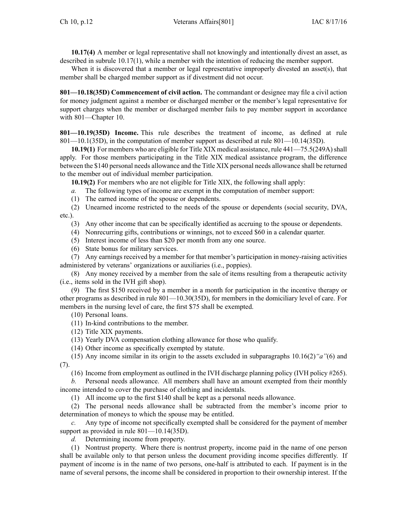**10.17(4)** A member or legal representative shall not knowingly and intentionally divest an asset, as described in subrule 10.17(1), while <sup>a</sup> member with the intention of reducing the member support.

When it is discovered that <sup>a</sup> member or legal representative improperly divested an asset(s), that member shall be charged member suppor<sup>t</sup> as if divestment did not occur.

**801—10.18(35D) Commencement of civil action.** The commandant or designee may file <sup>a</sup> civil action for money judgment against <sup>a</sup> member or discharged member or the member's legal representative for suppor<sup>t</sup> charges when the member or discharged member fails to pay member suppor<sup>t</sup> in accordance with 801—Chapter 10.

**801—10.19(35D) Income.** This rule describes the treatment of income, as defined at rule 801—10.1(35D), in the computation of member suppor<sup>t</sup> as described at rule 801—10.14(35D).

10.19(1) For members who are eligible for Title XIX medical assistance, rule 441—75.5(249A) shall apply. For those members participating in the Title XIX medical assistance program, the difference between the \$140 personal needs allowance and the Title XIX personal needs allowance shall be returned to the member out of individual member participation.

**10.19(2)** For members who are not eligible for Title XIX, the following shall apply:

*a.* The following types of income are exemp<sup>t</sup> in the computation of member support:

(1) The earned income of the spouse or dependents.

(2) Unearned income restricted to the needs of the spouse or dependents (social security, DVA, etc.).

(3) Any other income that can be specifically identified as accruing to the spouse or dependents.

(4) Nonrecurring gifts, contributions or winnings, not to exceed \$60 in <sup>a</sup> calendar quarter.

(5) Interest income of less than \$20 per month from any one source.

(6) State bonus for military services.

(7) Any earnings received by <sup>a</sup> member for that member's participation in money-raising activities administered by veterans' organizations or auxiliaries (i.e., poppies).

(8) Any money received by <sup>a</sup> member from the sale of items resulting from <sup>a</sup> therapeutic activity (i.e., items sold in the IVH gift shop).

(9) The first \$150 received by <sup>a</sup> member in <sup>a</sup> month for participation in the incentive therapy or other programs as described in rule 801—10.30(35D), for members in the domiciliary level of care. For members in the nursing level of care, the first \$75 shall be exempted.

(10) Personal loans.

(11) In-kind contributions to the member.

(12) Title XIX payments.

(13) Yearly DVA compensation clothing allowance for those who qualify.

(14) Other income as specifically exempted by statute.

(15) Any income similar in its origin to the assets excluded in subparagraphs 10.16(2)*"a"*(6) and (7).

(16) Income from employment as outlined in the IVH discharge planning policy (IVH policy #265).

Personal needs allowance. All members shall have an amount exempted from their monthly income intended to cover the purchase of clothing and incidentals.

(1) All income up to the first \$140 shall be kept as <sup>a</sup> personal needs allowance.

(2) The personal needs allowance shall be subtracted from the member's income prior to determination of moneys to which the spouse may be entitled.

*c.* Any type of income not specifically exempted shall be considered for the paymen<sup>t</sup> of member support as provided in rule 801—10.14(35D).

*d.* Determining income from property.

(1) Nontrust property. Where there is nontrust property, income paid in the name of one person shall be available only to that person unless the document providing income specifies differently. If paymen<sup>t</sup> of income is in the name of two persons, one-half is attributed to each. If paymen<sup>t</sup> is in the name of several persons, the income shall be considered in proportion to their ownership interest. If the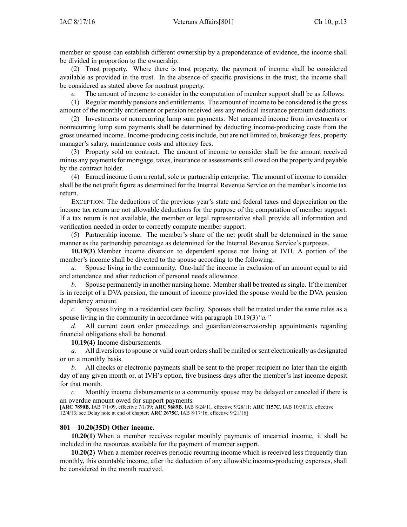member or spouse can establish different ownership by <sup>a</sup> preponderance of evidence, the income shall be divided in proportion to the ownership.

(2) Trust property. Where there is trust property, the paymen<sup>t</sup> of income shall be considered available as provided in the trust. In the absence of specific provisions in the trust, the income shall be considered as stated above for nontrust property.

*e.* The amount of income to consider in the computation of member suppor<sup>t</sup> shall be as follows:

(1) Regular monthly pensions and entitlements. The amount of income to be considered isthe gross amount of the monthly entitlement or pension received less any medical insurance premium deductions.

(2) Investments or nonrecurring lump sum payments. Net unearned income from investments or nonrecurring lump sum payments shall be determined by deducting income-producing costs from the gross unearned income. Income-producing costs include, but are not limited to, brokerage fees, property manager's salary, maintenance costs and attorney fees.

(3) Property sold on contract. The amount of income to consider shall be the amount received minus any payments for mortgage, taxes, insurance or assessments still owed on the property and payable by the contract holder.

(4) Earned income from <sup>a</sup> rental, sole or partnership enterprise. The amount of income to consider shall be the net profit figure as determined for the Internal Revenue Service on the member's income tax return.

EXCEPTION: The deductions of the previous year's state and federal taxes and depreciation on the income tax return are not allowable deductions for the purpose of the computation of member support. If <sup>a</sup> tax return is not available, the member or legal representative shall provide all information and verification needed in order to correctly compute member support.

(5) Partnership income. The member's share of the net profit shall be determined in the same manner as the partnership percentage as determined for the Internal Revenue Service's purposes.

**10.19(3)** Member income diversion to dependent spouse not living at IVH. A portion of the member's income shall be diverted to the spouse according to the following:

*a.* Spouse living in the community. One-half the income in exclusion of an amount equal to aid and attendance and after reduction of personal needs allowance.

*b.* Spouse permanently in another nursing home. Member shall be treated as single. If the member is in receipt of <sup>a</sup> DVA pension, the amount of income provided the spouse would be the DVA pension dependency amount.

*c.* Spouses living in <sup>a</sup> residential care facility. Spouses shall be treated under the same rules as <sup>a</sup> spouse living in the community in accordance with paragraph 10.19(3)*"a."*

*d.* All current court order proceedings and guardian/conservatorship appointments regarding financial obligations shall be honored.

**10.19(4)** Income disbursements.

*a.* All diversions to spouse or valid court orders shall be mailed or sent electronically as designated or on <sup>a</sup> monthly basis.

*b.* All checks or electronic payments shall be sent to the proper recipient no later than the eighth day of any given month or, at IVH's option, five business days after the member's last income deposit for that month.

*c.* Monthly income disbursements to <sup>a</sup> community spouse may be delayed or canceled if there is an overdue amount owed for suppor<sup>t</sup> payments.

[**ARC 7890B**, IAB 7/1/09, effective 7/1/09; **ARC 9689B**, IAB 8/24/11, effective 9/28/11; **ARC 1157C**, IAB 10/30/13, effective 12/4/13; see Delay note at end of chapter; **ARC 2675C**, IAB 8/17/16, effective 9/21/16]

### **801—10.20(35D) Other income.**

**10.20(1)** When <sup>a</sup> member receives regular monthly payments of unearned income, it shall be included in the resources available for the paymen<sup>t</sup> of member support.

**10.20(2)** When <sup>a</sup> member receives periodic recurring income which is received less frequently than monthly, this countable income, after the deduction of any allowable income-producing expenses, shall be considered in the month received.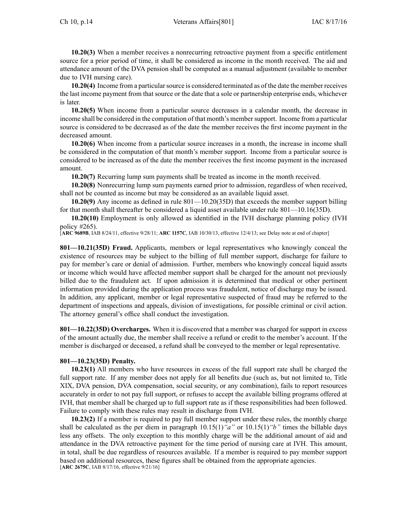**10.20(3)** When <sup>a</sup> member receives <sup>a</sup> nonrecurring retroactive paymen<sup>t</sup> from <sup>a</sup> specific entitlement source for <sup>a</sup> prior period of time, it shall be considered as income in the month received. The aid and attendance amount of the DVA pension shall be computed as <sup>a</sup> manual adjustment (available to member due to IVH nursing care).

**10.20(4)** Income from a particular source is considered terminated as of the date the member receives the last income paymen<sup>t</sup> from that source or the date that <sup>a</sup> sole or partnership enterprise ends, whichever is later.

**10.20(5)** When income from <sup>a</sup> particular source decreases in <sup>a</sup> calendar month, the decrease in income shall be considered in the computation of that month's membersupport. Income from <sup>a</sup> particular source is considered to be decreased as of the date the member receives the first income paymen<sup>t</sup> in the decreased amount.

**10.20(6)** When income from <sup>a</sup> particular source increases in <sup>a</sup> month, the increase in income shall be considered in the computation of that month's member support. Income from <sup>a</sup> particular source is considered to be increased as of the date the member receives the first income paymen<sup>t</sup> in the increased amount.

**10.20(7)** Recurring lump sum payments shall be treated as income in the month received.

**10.20(8)** Nonrecurring lump sum payments earned prior to admission, regardless of when received, shall not be counted as income but may be considered as an available liquid asset.

**10.20(9)** Any income as defined in rule 801—10.20(35D) that exceeds the member suppor<sup>t</sup> billing for that month shall thereafter be considered <sup>a</sup> liquid asset available under rule 801—10.16(35D).

**10.20(10)** Employment is only allowed as identified in the IVH discharge planning policy (IVH policy #265).

[**ARC 9689B**, IAB 8/24/11, effective 9/28/11; **ARC 1157C**, IAB 10/30/13, effective 12/4/13; see Delay note at end of chapter]

**801—10.21(35D) Fraud.** Applicants, members or legal representatives who knowingly conceal the existence of resources may be subject to the billing of full member support, discharge for failure to pay for member's care or denial of admission. Further, members who knowingly conceal liquid assets or income which would have affected member suppor<sup>t</sup> shall be charged for the amount not previously billed due to the fraudulent act. If upon admission it is determined that medical or other pertinent information provided during the application process was fraudulent, notice of discharge may be issued. In addition, any applicant, member or legal representative suspected of fraud may be referred to the department of inspections and appeals, division of investigations, for possible criminal or civil action. The attorney general's office shall conduct the investigation.

**801—10.22(35D) Overcharges.** When it is discovered that <sup>a</sup> member was charged for suppor<sup>t</sup> in excess of the amount actually due, the member shall receive <sup>a</sup> refund or credit to the member's account. If the member is discharged or deceased, <sup>a</sup> refund shall be conveyed to the member or legal representative.

### **801—10.23(35D) Penalty.**

**10.23(1)** All members who have resources in excess of the full suppor<sup>t</sup> rate shall be charged the full suppor<sup>t</sup> rate. If any member does not apply for all benefits due (such as, but not limited to, Title XIX, DVA pension, DVA compensation, social security, or any combination), fails to repor<sup>t</sup> resources accurately in order to not pay full support, or refuses to accep<sup>t</sup> the available billing programs offered at IVH, that member shall be charged up to full suppor<sup>t</sup> rate as if these responsibilities had been followed. Failure to comply with these rules may result in discharge from IVH.

**10.23(2)** If <sup>a</sup> member is required to pay full member suppor<sup>t</sup> under these rules, the monthly charge shall be calculated as the per diem in paragraph 10.15(1)*"a"* or 10.15(1)*"b"* times the billable days less any offsets. The only exception to this monthly charge will be the additional amount of aid and attendance in the DVA retroactive paymen<sup>t</sup> for the time period of nursing care at IVH. This amount, in total, shall be due regardless of resources available. If <sup>a</sup> member is required to pay member suppor<sup>t</sup> based on additional resources, these figures shall be obtained from the appropriate agencies. [**ARC 2675C**, IAB 8/17/16, effective 9/21/16]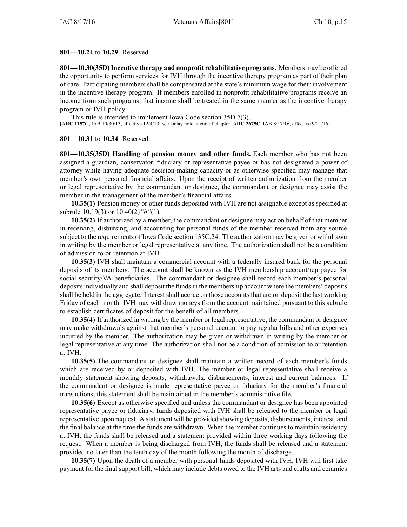#### **801—10.24** to **10.29** Reserved.

**801—10.30(35D)Incentive therapy and nonprofit rehabilitative programs.** Members may be offered the opportunity to perform services for IVH through the incentive therapy program as par<sup>t</sup> of their plan of care. Participating members shall be compensated at the state's minimum wage for their involvement in the incentive therapy program. If members enrolled in nonprofit rehabilitative programs receive an income from such programs, that income shall be treated in the same manner as the incentive therapy program or IVH policy.

This rule is intended to implement Iowa Code section [35D.7\(3\)](https://www.legis.iowa.gov/docs/ico/section/35D.7.pdf). [**ARC 1157C**, IAB 10/30/13, effective 12/4/13; see Delay note at end of chapter; **ARC 2675C**, IAB 8/17/16, effective 9/21/16]

#### **801—10.31** to **10.34** Reserved.

**801—10.35(35D) Handling of pension money and other funds.** Each member who has not been assigned <sup>a</sup> guardian, conservator, fiduciary or representative payee or has not designated <sup>a</sup> power of attorney while having adequate decision-making capacity or as otherwise specified may manage that member's own personal financial affairs. Upon the receipt of written authorization from the member or legal representative by the commandant or designee, the commandant or designee may assist the member in the managemen<sup>t</sup> of the member's financial affairs.

**10.35(1)** Pension money or other funds deposited with IVH are not assignable excep<sup>t</sup> as specified at subrule 10.19(3) or 10.40(2)*"b"*(1).

**10.35(2)** If authorized by <sup>a</sup> member, the commandant or designee may act on behalf of that member in receiving, disbursing, and accounting for personal funds of the member received from any source subject to the requirements of Iowa Code section [135C.24](https://www.legis.iowa.gov/docs/ico/section/135C.24.pdf). The authorization may be given or withdrawn in writing by the member or legal representative at any time. The authorization shall not be <sup>a</sup> condition of admission to or retention at IVH.

**10.35(3)** IVH shall maintain <sup>a</sup> commercial account with <sup>a</sup> federally insured bank for the personal deposits of its members. The account shall be known as the IVH membership account/rep payee for social security/VA beneficiaries. The commandant or designee shall record each member's personal depositsindividually and shall deposit the fundsin the membership account where the members' deposits shall be held in the aggregate. Interest shall accrue on those accounts that are on deposit the last working Friday of each month. IVH may withdraw moneys from the account maintained pursuan<sup>t</sup> to this subrule to establish certificates of deposit for the benefit of all members.

**10.35(4)** If authorized in writing by the member or legal representative, the commandant or designee may make withdrawals against that member's personal account to pay regular bills and other expenses incurred by the member. The authorization may be given or withdrawn in writing by the member or legal representative at any time. The authorization shall not be <sup>a</sup> condition of admission to or retention at IVH.

**10.35(5)** The commandant or designee shall maintain <sup>a</sup> written record of each member's funds which are received by or deposited with IVH. The member or legal representative shall receive <sup>a</sup> monthly statement showing deposits, withdrawals, disbursements, interest and current balances. If the commandant or designee is made representative payee or fiduciary for the member's financial transactions, this statement shall be maintained in the member's administrative file.

**10.35(6)** Except as otherwise specified and unless the commandant or designee has been appointed representative payee or fiduciary, funds deposited with IVH shall be released to the member or legal representative upon request. A statement will be provided showing deposits, disbursements, interest, and the final balance at the time the funds are withdrawn. When the member continues to maintain residency at IVH, the funds shall be released and <sup>a</sup> statement provided within three working days following the request. When <sup>a</sup> member is being discharged from IVH, the funds shall be released and <sup>a</sup> statement provided no later than the tenth day of the month following the month of discharge.

**10.35(7)** Upon the death of <sup>a</sup> member with personal funds deposited with IVH, IVH will first take paymen<sup>t</sup> for the final suppor<sup>t</sup> bill, which may include debts owed to the IVH arts and crafts and ceramics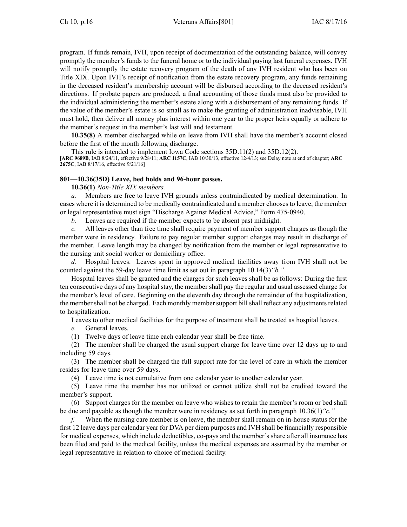program. If funds remain, IVH, upon receipt of documentation of the outstanding balance, will convey promptly the member's funds to the funeral home or to the individual paying last funeral expenses. IVH will notify promptly the estate recovery program of the death of any IVH resident who has been on Title XIX. Upon IVH's receipt of notification from the estate recovery program, any funds remaining in the deceased resident's membership account will be disbursed according to the deceased resident's directions. If probate papers are produced, <sup>a</sup> final accounting of those funds must also be provided to the individual administering the member's estate along with <sup>a</sup> disbursement of any remaining funds. If the value of the member's estate is so small as to make the granting of administration inadvisable, IVH must hold, then deliver all money plus interest within one year to the proper heirs equally or adhere to the member's reques<sup>t</sup> in the member's last will and testament.

**10.35(8)** A member discharged while on leave from IVH shall have the member's account closed before the first of the month following discharge.

This rule is intended to implement Iowa Code sections [35D.11\(2\)](https://www.legis.iowa.gov/docs/ico/section/35D.11.pdf) and [35D.12\(2\)](https://www.legis.iowa.gov/docs/ico/section/35D.12.pdf). [**ARC 9689B**, IAB 8/24/11, effective 9/28/11; **ARC 1157C**, IAB 10/30/13, effective 12/4/13; see Delay note at end of chapter; **ARC 2675C**, IAB 8/17/16, effective 9/21/16]

### **801—10.36(35D) Leave, bed holds and 96-hour passes.**

**10.36(1)** *Non-Title XIX members.*

*a.* Members are free to leave IVH grounds unless contraindicated by medical determination. In cases where it is determined to be medically contraindicated and <sup>a</sup> member chooses to leave, the member or legal representative must sign "Discharge Against Medical Advice," Form 475-0940.

*b.* Leaves are required if the member expects to be absent pas<sup>t</sup> midnight.

*c.* All leaves other than free time shall require paymen<sup>t</sup> of member suppor<sup>t</sup> charges as though the member were in residency. Failure to pay regular member suppor<sup>t</sup> charges may result in discharge of the member. Leave length may be changed by notification from the member or legal representative to the nursing unit social worker or domiciliary office.

*d.* Hospital leaves. Leaves spen<sup>t</sup> in approved medical facilities away from IVH shall not be counted against the 59-day leave time limit as set out in paragraph 10.14(3)*"b."*

Hospital leaves shall be granted and the charges for such leaves shall be as follows: During the first ten consecutive days of any hospital stay, the member shall pay the regular and usual assessed charge for the member's level of care. Beginning on the eleventh day through the remainder of the hospitalization, the member shall not be charged. Each monthly member support bill shall reflect any adjustments related to hospitalization.

Leaves to other medical facilities for the purpose of treatment shall be treated as hospital leaves.

*e.* General leaves.

(1) Twelve days of leave time each calendar year shall be free time.

(2) The member shall be charged the usual suppor<sup>t</sup> charge for leave time over 12 days up to and including 59 days.

(3) The member shall be charged the full suppor<sup>t</sup> rate for the level of care in which the member resides for leave time over 59 days.

(4) Leave time is not cumulative from one calendar year to another calendar year.

(5) Leave time the member has not utilized or cannot utilize shall not be credited toward the member's support.

(6) Support charges for the member on leave who wishes to retain the member's room or bed shall be due and payable as though the member were in residency as set forth in paragraph 10.36(1)*"c."*

*f.* When the nursing care member is on leave, the member shall remain on in-house status for the first 12 leave days per calendar year for DVA per diem purposes and IVH shall be financially responsible for medical expenses, which include deductibles, co-pays and the member's share after all insurance has been filed and paid to the medical facility, unless the medical expenses are assumed by the member or legal representative in relation to choice of medical facility.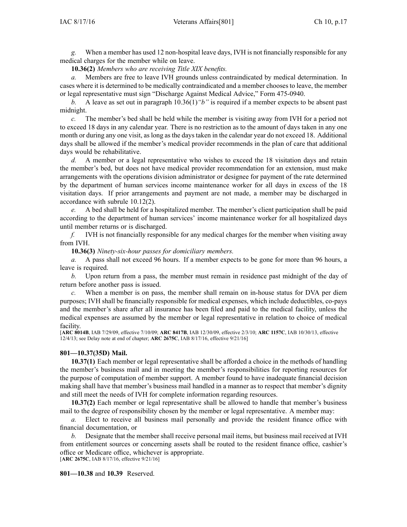*g.* When <sup>a</sup> member has used 12 non-hospital leave days, IVH is not financially responsible for any medical charges for the member while on leave.

**10.36(2)** *Members who are receiving Title XIX benefits.*

*a.* Members are free to leave IVH grounds unless contraindicated by medical determination. In cases where it is determined to be medically contraindicated and <sup>a</sup> member chooses to leave, the member or legal representative must sign "Discharge Against Medical Advice," Form 475-0940.

*b.* A leave as set out in paragraph 10.36(1)*"b"* is required if <sup>a</sup> member expects to be absent pas<sup>t</sup> midnight.

*c.* The member's bed shall be held while the member is visiting away from IVH for <sup>a</sup> period not to exceed 18 days in any calendar year. There is no restriction as to the amount of days taken in any one month or during any one visit, as long as the days taken in the calendar year do not exceed 18. Additional days shall be allowed if the member's medical provider recommends in the plan of care that additional days would be rehabilitative.

*d.* A member or <sup>a</sup> legal representative who wishes to exceed the 18 visitation days and retain the member's bed, but does not have medical provider recommendation for an extension, must make arrangements with the operations division administrator or designee for paymen<sup>t</sup> of the rate determined by the department of human services income maintenance worker for all days in excess of the 18 visitation days. If prior arrangements and paymen<sup>t</sup> are not made, <sup>a</sup> member may be discharged in accordance with subrule 10.12(2).

*e.* A bed shall be held for <sup>a</sup> hospitalized member. The member's client participation shall be paid according to the department of human services' income maintenance worker for all hospitalized days until member returns or is discharged.

*f.* IVH is not financially responsible for any medical charges for the member when visiting away from IVH.

**10.36(3)** *Ninety-six-hour passes for domiciliary members.*

*a.* A pass shall not exceed 96 hours. If <sup>a</sup> member expects to be gone for more than 96 hours, <sup>a</sup> leave is required.

*b.* Upon return from <sup>a</sup> pass, the member must remain in residence pas<sup>t</sup> midnight of the day of return before another pass is issued.

*c.* When <sup>a</sup> member is on pass, the member shall remain on in-house status for DVA per diem purposes; IVH shall be financially responsible for medical expenses, which include deductibles, co-pays and the member's share after all insurance has been filed and paid to the medical facility, unless the medical expenses are assumed by the member or legal representative in relation to choice of medical facility.

[**ARC 8014B**, IAB 7/29/09, effective 7/10/09; **ARC 8417B**, IAB 12/30/09, effective 2/3/10; **ARC 1157C**, IAB 10/30/13, effective 12/4/13; see Delay note at end of chapter; **ARC 2675C**, IAB 8/17/16, effective 9/21/16]

#### **801—10.37(35D) Mail.**

**10.37(1)** Each member or legal representative shall be afforded <sup>a</sup> choice in the methods of handling the member's business mail and in meeting the member's responsibilities for reporting resources for the purpose of computation of member support. A member found to have inadequate financial decision making shall have that member's business mail handled in <sup>a</sup> manner as to respec<sup>t</sup> that member's dignity and still meet the needs of IVH for complete information regarding resources.

**10.37(2)** Each member or legal representative shall be allowed to handle that member's business mail to the degree of responsibility chosen by the member or legal representative. A member may:

*a.* Elect to receive all business mail personally and provide the resident finance office with financial documentation, or

*b.* Designate that the member shall receive personal mail items, but business mail received at IVH from entitlement sources or concerning assets shall be routed to the resident finance office, cashier's office or Medicare office, whichever is appropriate. [**ARC 2675C**, IAB 8/17/16, effective 9/21/16]

**801—10.38** and **10.39** Reserved.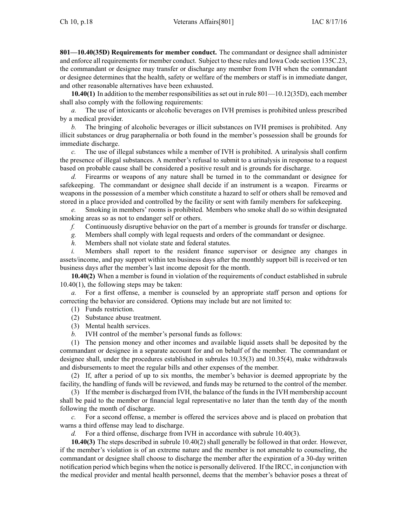**801—10.40(35D) Requirements for member conduct.** The commandant or designee shall administer and enforce all requirements for member conduct. Subject to these rules and Iowa Code section [135C.23](https://www.legis.iowa.gov/docs/ico/section/135C.23.pdf), the commandant or designee may transfer or discharge any member from IVH when the commandant or designee determines that the health, safety or welfare of the members or staff is in immediate danger, and other reasonable alternatives have been exhausted.

**10.40(1)** In addition to the member responsibilities as set out in rule 801—10.12(35D), each member shall also comply with the following requirements:

*a.* The use of intoxicants or alcoholic beverages on IVH premises is prohibited unless prescribed by <sup>a</sup> medical provider.

*b.* The bringing of alcoholic beverages or illicit substances on IVH premises is prohibited. Any illicit substances or drug paraphernalia or both found in the member's possession shall be grounds for immediate discharge.

*c.* The use of illegal substances while <sup>a</sup> member of IVH is prohibited. A urinalysis shall confirm the presence of illegal substances. A member's refusal to submit to <sup>a</sup> urinalysis in response to <sup>a</sup> reques<sup>t</sup> based on probable cause shall be considered <sup>a</sup> positive result and is grounds for discharge.

*d.* Firearms or weapons of any nature shall be turned in to the commandant or designee for safekeeping. The commandant or designee shall decide if an instrument is <sup>a</sup> weapon. Firearms or weapons in the possession of <sup>a</sup> member which constitute <sup>a</sup> hazard to self or others shall be removed and stored in <sup>a</sup> place provided and controlled by the facility or sent with family members for safekeeping.

*e.* Smoking in members' rooms is prohibited. Members who smoke shall do so within designated smoking areas so as not to endanger self or others.

*f.* Continuously disruptive behavior on the par<sup>t</sup> of <sup>a</sup> member is grounds for transfer or discharge.

*g.* Members shall comply with legal requests and orders of the commandant or designee.

*h.* Members shall not violate state and federal statutes.

*i.* Members shall report to the resident finance supervisor or designee any changes in assets/income, and pay suppor<sup>t</sup> within ten business days after the monthly suppor<sup>t</sup> bill is received or ten business days after the member's last income deposit for the month.

**10.40(2)** When <sup>a</sup> member is found in violation of the requirements of conduct established in subrule 10.40(1), the following steps may be taken:

*a.* For <sup>a</sup> first offense, <sup>a</sup> member is counseled by an appropriate staff person and options for correcting the behavior are considered. Options may include but are not limited to:

(1) Funds restriction.

(2) Substance abuse treatment.

(3) Mental health services.

*b.* IVH control of the member's personal funds as follows:

(1) The pension money and other incomes and available liquid assets shall be deposited by the commandant or designee in <sup>a</sup> separate account for and on behalf of the member. The commandant or designee shall, under the procedures established in subrules 10.35(3) and 10.35(4), make withdrawals and disbursements to meet the regular bills and other expenses of the member.

(2) If, after <sup>a</sup> period of up to six months, the member's behavior is deemed appropriate by the facility, the handling of funds will be reviewed, and funds may be returned to the control of the member.

(3) If the member is discharged from IVH, the balance of the funds in the IVH membership account shall be paid to the member or financial legal representative no later than the tenth day of the month following the month of discharge.

*c.* For <sup>a</sup> second offense, <sup>a</sup> member is offered the services above and is placed on probation that warns <sup>a</sup> third offense may lead to discharge.

*d.* For <sup>a</sup> third offense, discharge from IVH in accordance with subrule 10.40(3).

**10.40(3)** The steps described in subrule 10.40(2) shall generally be followed in that order. However, if the member's violation is of an extreme nature and the member is not amenable to counseling, the commandant or designee shall choose to discharge the member after the expiration of <sup>a</sup> 30-day written notification period which begins when the notice is personally delivered. If the IRCC, in conjunction with the medical provider and mental health personnel, deems that the member's behavior poses <sup>a</sup> threat of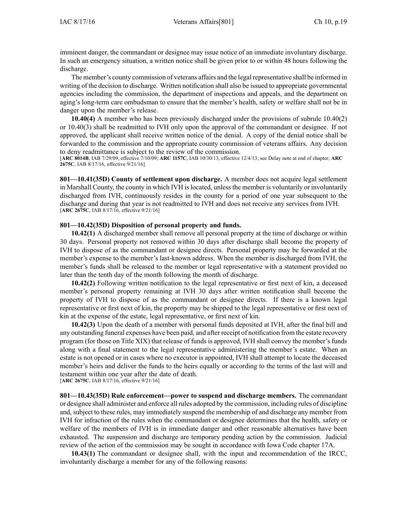imminent danger, the commandant or designee may issue notice of an immediate involuntary discharge. In such an emergency situation, <sup>a</sup> written notice shall be given prior to or within 48 hours following the discharge.

The member's county commission of veterans affairs and the legal representative shall be informed in writing of the decision to discharge. Written notification shall also be issued to appropriate governmental agencies including the commission, the department of inspections and appeals, and the department on aging's long-term care ombudsman to ensure that the member's health, safety or welfare shall not be in danger upon the member's release.

**10.40(4)** A member who has been previously discharged under the provisions of subrule 10.40(2) or 10.40(3) shall be readmitted to IVH only upon the approval of the commandant or designee. If not approved, the applicant shall receive written notice of the denial. A copy of the denial notice shall be forwarded to the commission and the appropriate county commission of veterans affairs. Any decision to deny readmittance is subject to the review of the commission.

[**ARC 8014B**, IAB 7/29/09, effective 7/10/09; **ARC 1157C**, IAB 10/30/13, effective 12/4/13; see Delay note at end of chapter; **ARC 2675C**, IAB 8/17/16, effective 9/21/16]

**801—10.41(35D) County of settlement upon discharge.** A member does not acquire legal settlement in Marshall County, the county in which IVH islocated, unlessthe member is voluntarily or involuntarily discharged from IVH, continuously resides in the county for <sup>a</sup> period of one year subsequent to the discharge and during that year is not readmitted to IVH and does not receive any services from IVH. [**ARC 2675C**, IAB 8/17/16, effective 9/21/16]

### **801—10.42(35D) Disposition of personal property and funds.**

**10.42(1)** A discharged member shall remove all personal property at the time of discharge or within 30 days. Personal property not removed within 30 days after discharge shall become the property of IVH to dispose of as the commandant or designee directs. Personal property may be forwarded at the member's expense to the member's last-known address. When the member is discharged from IVH, the member's funds shall be released to the member or legal representative with <sup>a</sup> statement provided no later than the tenth day of the month following the month of discharge.

**10.42(2)** Following written notification to the legal representative or first next of kin, <sup>a</sup> deceased member's personal property remaining at IVH 30 days after written notification shall become the property of IVH to dispose of as the commandant or designee directs. If there is <sup>a</sup> known legal representative or first next of kin, the property may be shipped to the legal representative or first next of kin at the expense of the estate, legal representative, or first next of kin.

**10.42(3)** Upon the death of <sup>a</sup> member with personal funds deposited at IVH, after the final bill and any outstanding funeral expenses have been paid, and after receipt of notification from the estate recovery program (for those on Title XIX) that release of funds is approved, IVH shall convey the member's funds along with <sup>a</sup> final statement to the legal representative administering the member's estate. When an estate is not opened or in cases where no executor is appointed, IVH shall attempt to locate the deceased member's heirs and deliver the funds to the heirs equally or according to the terms of the last will and testament within one year after the date of death.

[**ARC 2675C**, IAB 8/17/16, effective 9/21/16]

**801—10.43(35D) Rule enforcement—power to suspend and discharge members.** The commandant or designee shall administer and enforce all rules adopted by the commission, including rules of discipline and, subject to these rules, may immediately suspend the membership of and discharge any member from IVH for infraction of the rules when the commandant or designee determines that the health, safety or welfare of the members of IVH is in immediate danger and other reasonable alternatives have been exhausted. The suspension and discharge are temporary pending action by the commission. Judicial review of the action of the commission may be sought in accordance with Iowa Code chapter [17A](https://www.legis.iowa.gov/docs/ico/chapter/17A.pdf).

**10.43(1)** The commandant or designee shall, with the input and recommendation of the IRCC, involuntarily discharge <sup>a</sup> member for any of the following reasons: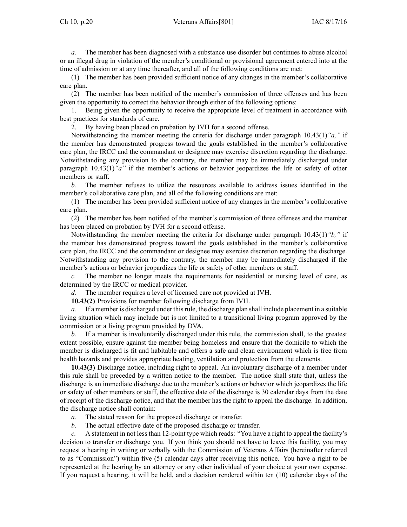*a.* The member has been diagnosed with <sup>a</sup> substance use disorder but continues to abuse alcohol or an illegal drug in violation of the member's conditional or provisional agreemen<sup>t</sup> entered into at the time of admission or at any time thereafter, and all of the following conditions are met:

(1) The member has been provided sufficient notice of any changes in the member's collaborative care plan.

(2) The member has been notified of the member's commission of three offenses and has been given the opportunity to correct the behavior through either of the following options:

1. Being given the opportunity to receive the appropriate level of treatment in accordance with best practices for standards of care.

2. By having been placed on probation by IVH for <sup>a</sup> second offense.

Notwithstanding the member meeting the criteria for discharge under paragraph 10.43(1)*"a,"* if the member has demonstrated progress toward the goals established in the member's collaborative care plan, the IRCC and the commandant or designee may exercise discretion regarding the discharge. Notwithstanding any provision to the contrary, the member may be immediately discharged under paragraph 10.43(1)*"a"* if the member's actions or behavior jeopardizes the life or safety of other members or staff.

*b.* The member refuses to utilize the resources available to address issues identified in the member's collaborative care plan, and all of the following conditions are met:

(1) The member has been provided sufficient notice of any changes in the member's collaborative care plan.

(2) The member has been notified of the member's commission of three offenses and the member has been placed on probation by IVH for <sup>a</sup> second offense.

Notwithstanding the member meeting the criteria for discharge under paragraph 10.43(1)*"b,"* if the member has demonstrated progress toward the goals established in the member's collaborative care plan, the IRCC and the commandant or designee may exercise discretion regarding the discharge. Notwithstanding any provision to the contrary, the member may be immediately discharged if the member's actions or behavior jeopardizes the life or safety of other members or staff.

*c.* The member no longer meets the requirements for residential or nursing level of care, as determined by the IRCC or medical provider.

*d.* The member requires <sup>a</sup> level of licensed care not provided at IVH.

**10.43(2)** Provisions for member following discharge from IVH.

*a.* If <sup>a</sup> member is discharged under thisrule, the discharge plan shall include placement in <sup>a</sup> suitable living situation which may include but is not limited to <sup>a</sup> transitional living program approved by the commission or <sup>a</sup> living program provided by DVA.

*b.* If <sup>a</sup> member is involuntarily discharged under this rule, the commission shall, to the greatest extent possible, ensure against the member being homeless and ensure that the domicile to which the member is discharged is fit and habitable and offers <sup>a</sup> safe and clean environment which is free from health hazards and provides appropriate heating, ventilation and protection from the elements.

**10.43(3)** Discharge notice, including right to appeal. An involuntary discharge of <sup>a</sup> member under this rule shall be preceded by <sup>a</sup> written notice to the member. The notice shall state that, unless the discharge is an immediate discharge due to the member's actions or behavior which jeopardizes the life or safety of other members or staff, the effective date of the discharge is 30 calendar days from the date of receipt of the discharge notice, and that the member has the right to appeal the discharge. In addition, the discharge notice shall contain:

- *a.* The stated reason for the proposed discharge or transfer.
- *b.* The actual effective date of the proposed discharge or transfer.

*c.* A statement in not less than 12-point type which reads: "You have <sup>a</sup> right to appeal the facility's decision to transfer or discharge you. If you think you should not have to leave this facility, you may reques<sup>t</sup> <sup>a</sup> hearing in writing or verbally with the Commission of Veterans Affairs (hereinafter referred to as "Commission") within five (5) calendar days after receiving this notice. You have <sup>a</sup> right to be represented at the hearing by an attorney or any other individual of your choice at your own expense. If you reques<sup>t</sup> <sup>a</sup> hearing, it will be held, and <sup>a</sup> decision rendered within ten (10) calendar days of the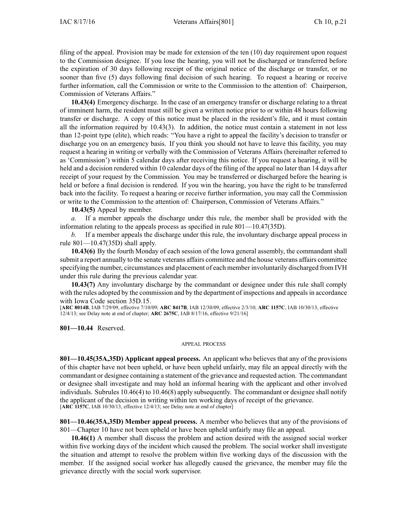filing of the appeal. Provision may be made for extension of the ten (10) day requirement upon reques<sup>t</sup> to the Commission designee. If you lose the hearing, you will not be discharged or transferred before the expiration of 30 days following receipt of the original notice of the discharge or transfer, or no sooner than five (5) days following final decision of such hearing. To reques<sup>t</sup> <sup>a</sup> hearing or receive further information, call the Commission or write to the Commission to the attention of: Chairperson, Commission of Veterans Affairs."

**10.43(4)** Emergency discharge. In the case of an emergency transfer or discharge relating to <sup>a</sup> threat of imminent harm, the resident must still be given <sup>a</sup> written notice prior to or within 48 hours following transfer or discharge. A copy of this notice must be placed in the resident's file, and it must contain all the information required by 10.43(3). In addition, the notice must contain <sup>a</sup> statement in not less than 12-point type (elite), which reads: "You have <sup>a</sup> right to appeal the facility's decision to transfer or discharge you on an emergency basis. If you think you should not have to leave this facility, you may reques<sup>t</sup> <sup>a</sup> hearing in writing or verbally with the Commission of Veterans Affairs (hereinafter referred to as 'Commission') within 5 calendar days after receiving this notice. If you reques<sup>t</sup> <sup>a</sup> hearing, it will be held and <sup>a</sup> decision rendered within 10 calendar days of the filing of the appeal no later than 14 days after receipt of your reques<sup>t</sup> by the Commission. You may be transferred or discharged before the hearing is held or before <sup>a</sup> final decision is rendered. If you win the hearing, you have the right to be transferred back into the facility. To reques<sup>t</sup> <sup>a</sup> hearing or receive further information, you may call the Commission or write to the Commission to the attention of: Chairperson, Commission of Veterans Affairs."

**10.43(5)** Appeal by member.

*a.* If <sup>a</sup> member appeals the discharge under this rule, the member shall be provided with the information relating to the appeals process as specified in rule 801—10.47(35D).

*b.* If <sup>a</sup> member appeals the discharge under this rule, the involuntary discharge appeal process in rule 801—10.47(35D) shall apply.

**10.43(6)** By the fourth Monday of each session of the Iowa general assembly, the commandant shall submit <sup>a</sup> repor<sup>t</sup> annually to the senate veterans affairs committee and the house veterans affairs committee specifying the number, circumstances and placement of each member involuntarily discharged from IVH under this rule during the previous calendar year.

**10.43(7)** Any involuntary discharge by the commandant or designee under this rule shall comply with the rules adopted by the commission and by the department of inspections and appeals in accordance with Iowa Code section [35D.15](https://www.legis.iowa.gov/docs/ico/section/35D.15.pdf).

[**ARC 8014B**, IAB 7/29/09, effective 7/10/09; **ARC 8417B**, IAB 12/30/09, effective 2/3/10; **ARC 1157C**, IAB 10/30/13, effective 12/4/13; see Delay note at end of chapter; **ARC 2675C**, IAB 8/17/16, effective 9/21/16]

**801—10.44** Reserved.

#### APPEAL PROCESS

**801—10.45(35A,35D) Applicant appeal process.** An applicant who believes that any of the provisions of this chapter have not been upheld, or have been upheld unfairly, may file an appeal directly with the commandant or designee containing <sup>a</sup> statement of the grievance and requested action. The commandant or designee shall investigate and may hold an informal hearing with the applicant and other involved individuals. Subrules 10.46(4) to 10.46(8) apply subsequently. The commandant or designee shall notify the applicant of the decision in writing within ten working days of receipt of the grievance. [**ARC 1157C**, IAB 10/30/13, effective 12/4/13; see Delay note at end of chapter]

**801—10.46(35A,35D) Member appeal process.** A member who believes that any of the provisions of 801—Chapter 10 have not been upheld or have been upheld unfairly may file an appeal.

**10.46(1)** A member shall discuss the problem and action desired with the assigned social worker within five working days of the incident which caused the problem. The social worker shall investigate the situation and attempt to resolve the problem within five working days of the discussion with the member. If the assigned social worker has allegedly caused the grievance, the member may file the grievance directly with the social work supervisor.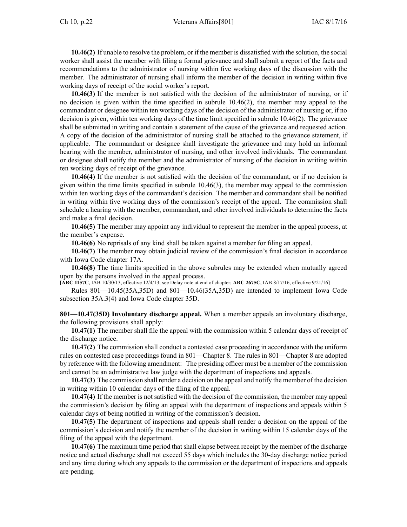**10.46(2)** If unable to resolve the problem, or if the member is dissatisfied with the solution, the social worker shall assist the member with filing <sup>a</sup> formal grievance and shall submit <sup>a</sup> repor<sup>t</sup> of the facts and recommendations to the administrator of nursing within five working days of the discussion with the member. The administrator of nursing shall inform the member of the decision in writing within five working days of receipt of the social worker's report.

**10.46(3)** If the member is not satisfied with the decision of the administrator of nursing, or if no decision is given within the time specified in subrule 10.46(2), the member may appeal to the commandant or designee within ten working days of the decision of the administrator of nursing or, if no decision is given, within ten working days of the time limit specified in subrule 10.46(2). The grievance shall be submitted in writing and contain <sup>a</sup> statement of the cause of the grievance and requested action. A copy of the decision of the administrator of nursing shall be attached to the grievance statement, if applicable. The commandant or designee shall investigate the grievance and may hold an informal hearing with the member, administrator of nursing, and other involved individuals. The commandant or designee shall notify the member and the administrator of nursing of the decision in writing within ten working days of receipt of the grievance.

**10.46(4)** If the member is not satisfied with the decision of the commandant, or if no decision is given within the time limits specified in subrule 10.46(3), the member may appeal to the commission within ten working days of the commandant's decision. The member and commandant shall be notified in writing within five working days of the commission's receipt of the appeal. The commission shall schedule <sup>a</sup> hearing with the member, commandant, and other involved individuals to determine the facts and make <sup>a</sup> final decision.

**10.46(5)** The member may appoint any individual to represen<sup>t</sup> the member in the appeal process, at the member's expense.

**10.46(6)** No reprisals of any kind shall be taken against <sup>a</sup> member for filing an appeal.

**10.46(7)** The member may obtain judicial review of the commission's final decision in accordance with Iowa Code chapter [17A](https://www.legis.iowa.gov/docs/ico/chapter/17A.pdf).

**10.46(8)** The time limits specified in the above subrules may be extended when mutually agreed upon by the persons involved in the appeal process.

[**ARC 1157C**, IAB 10/30/13, effective 12/4/13; see Delay note at end of chapter; **ARC 2675C**, IAB 8/17/16, effective 9/21/16]

Rules 801—10.45(35A,35D) and 801—10.46(35A,35D) are intended to implement Iowa Code subsection [35A.3\(4\)](https://www.legis.iowa.gov/docs/ico/section/35A.3.pdf) and Iowa Code chapter [35D](https://www.legis.iowa.gov/docs/ico/chapter/35D.pdf).

**801—10.47(35D) Involuntary discharge appeal.** When <sup>a</sup> member appeals an involuntary discharge, the following provisions shall apply:

**10.47(1)** The member shall file the appeal with the commission within 5 calendar days of receipt of the discharge notice.

**10.47(2)** The commission shall conduct <sup>a</sup> contested case proceeding in accordance with the uniform rules on contested case proceedings found in 801—Chapter 8. The rules in 801—Chapter 8 are adopted by reference with the following amendment: The presiding officer must be <sup>a</sup> member of the commission and cannot be an administrative law judge with the department of inspections and appeals.

**10.47(3)** The commission shall render <sup>a</sup> decision on the appeal and notify the member of the decision in writing within 10 calendar days of the filing of the appeal.

**10.47(4)** If the member is not satisfied with the decision of the commission, the member may appeal the commission's decision by filing an appeal with the department of inspections and appeals within 5 calendar days of being notified in writing of the commission's decision.

**10.47(5)** The department of inspections and appeals shall render <sup>a</sup> decision on the appeal of the commission's decision and notify the member of the decision in writing within 15 calendar days of the filing of the appeal with the department.

**10.47(6)** The maximum time period that shall elapse between receipt by the member of the discharge notice and actual discharge shall not exceed 55 days which includes the 30-day discharge notice period and any time during which any appeals to the commission or the department of inspections and appeals are pending.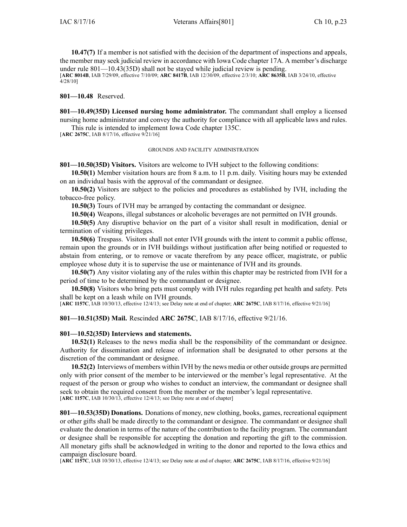**10.47(7)** If <sup>a</sup> member is not satisfied with the decision of the department of inspections and appeals, the member may seek judicial review in accordance with Iowa Code chapter [17A](https://www.legis.iowa.gov/docs/ico/chapter/17A.pdf). A member's discharge under rule 801—10.43(35D) shall not be stayed while judicial review is pending. [**ARC 8014B**, IAB 7/29/09, effective 7/10/09; **ARC 8417B**, IAB 12/30/09, effective 2/3/10; **ARC 8635B**, IAB 3/24/10, effective 4/28/10]

**801—10.48** Reserved.

**801—10.49(35D) Licensed nursing home administrator.** The commandant shall employ <sup>a</sup> licensed nursing home administrator and convey the authority for compliance with all applicable laws and rules.

This rule is intended to implement Iowa Code chapter [135C](https://www.legis.iowa.gov/docs/ico/chapter/135C.pdf).

[**ARC 2675C**, IAB 8/17/16, effective 9/21/16]

### GROUNDS AND FACILITY ADMINISTRATION

**801—10.50(35D) Visitors.** Visitors are welcome to IVH subject to the following conditions:

**10.50(1)** Member visitation hours are from 8 a.m. to 11 p.m. daily. Visiting hours may be extended on an individual basis with the approval of the commandant or designee.

**10.50(2)** Visitors are subject to the policies and procedures as established by IVH, including the tobacco-free policy.

**10.50(3)** Tours of IVH may be arranged by contacting the commandant or designee.

**10.50(4)** Weapons, illegal substances or alcoholic beverages are not permitted on IVH grounds.

**10.50(5)** Any disruptive behavior on the par<sup>t</sup> of <sup>a</sup> visitor shall result in modification, denial or termination of visiting privileges.

**10.50(6)** Trespass. Visitors shall not enter IVH grounds with the intent to commit <sup>a</sup> public offense, remain upon the grounds or in IVH buildings without justification after being notified or requested to abstain from entering, or to remove or vacate therefrom by any peace officer, magistrate, or public employee whose duty it is to supervise the use or maintenance of IVH and its grounds.

**10.50(7)** Any visitor violating any of the rules within this chapter may be restricted from IVH for <sup>a</sup> period of time to be determined by the commandant or designee.

**10.50(8)** Visitors who bring pets must comply with IVH rules regarding pe<sup>t</sup> health and safety. Pets shall be kept on <sup>a</sup> leash while on IVH grounds.

[**ARC 1157C**, IAB 10/30/13, effective 12/4/13; see Delay note at end of chapter; **ARC 2675C**, IAB 8/17/16, effective 9/21/16]

**801—10.51(35D) Mail.** Rescinded **ARC 2675C**, IAB [8/17/16](https://www.legis.iowa.gov/docs/aco/bulletin/08-17-2016.pdf), effective 9/21/16.

### **801—10.52(35D) Interviews and statements.**

**10.52(1)** Releases to the news media shall be the responsibility of the commandant or designee. Authority for dissemination and release of information shall be designated to other persons at the discretion of the commandant or designee.

**10.52(2)** Interviews of members within IVH by the news media or other outside groups are permitted only with prior consent of the member to be interviewed or the member's legal representative. At the reques<sup>t</sup> of the person or group who wishes to conduct an interview, the commandant or designee shall seek to obtain the required consent from the member or the member's legal representative. [**ARC 1157C**, IAB 10/30/13, effective 12/4/13; see Delay note at end of chapter]

**801—10.53(35D) Donations.** Donations of money, new clothing, books, games, recreational equipment or other gifts shall be made directly to the commandant or designee. The commandant or designee shall evaluate the donation in terms of the nature of the contribution to the facility program. The commandant or designee shall be responsible for accepting the donation and reporting the gift to the commission. All monetary gifts shall be acknowledged in writing to the donor and reported to the Iowa ethics and campaign disclosure board.

[**ARC 1157C**, IAB 10/30/13, effective 12/4/13; see Delay note at end of chapter; **ARC 2675C**, IAB 8/17/16, effective 9/21/16]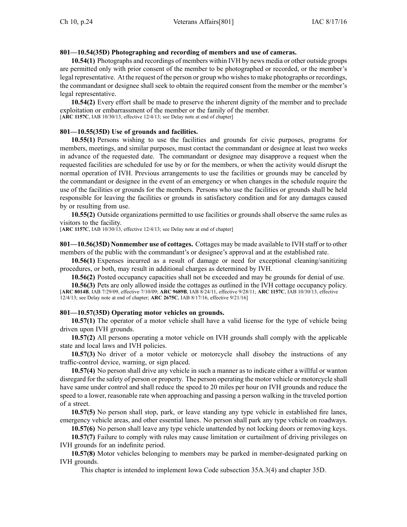## **801—10.54(35D) Photographing and recording of members and use of cameras.**

**10.54(1)** Photographs and recordings of members within IVH by news media or other outside groups are permitted only with prior consent of the member to be photographed or recorded, or the member's legal representative. At the reques<sup>t</sup> of the person or group who wishesto make photographs or recordings, the commandant or designee shall seek to obtain the required consent from the member or the member's legal representative.

**10.54(2)** Every effort shall be made to preserve the inherent dignity of the member and to preclude exploitation or embarrassment of the member or the family of the member. [**ARC 1157C**, IAB 10/30/13, effective 12/4/13; see Delay note at end of chapter]

## **801—10.55(35D) Use of grounds and facilities.**

**10.55(1)** Persons wishing to use the facilities and grounds for civic purposes, programs for members, meetings, and similar purposes, must contact the commandant or designee at least two weeks in advance of the requested date. The commandant or designee may disapprove <sup>a</sup> reques<sup>t</sup> when the requested facilities are scheduled for use by or for the members, or when the activity would disrupt the normal operation of IVH. Previous arrangements to use the facilities or grounds may be canceled by the commandant or designee in the event of an emergency or when changes in the schedule require the use of the facilities or grounds for the members. Persons who use the facilities or grounds shall be held responsible for leaving the facilities or grounds in satisfactory condition and for any damages caused by or resulting from use.

**10.55(2)** Outside organizations permitted to use facilities or grounds shall observe the same rules as visitors to the facility.

[**ARC 1157C**, IAB 10/30/13, effective 12/4/13; see Delay note at end of chapter]

**801—10.56(35D) Nonmember use of cottages.** Cottages may be made available to IVH staff or to other members of the public with the commandant's or designee's approval and at the established rate.

**10.56(1)** Expenses incurred as <sup>a</sup> result of damage or need for exceptional cleaning/sanitizing procedures, or both, may result in additional charges as determined by IVH.

**10.56(2)** Posted occupancy capacities shall not be exceeded and may be grounds for denial of use.

**10.56(3)** Pets are only allowed inside the cottages as outlined in the IVH cottage occupancy policy. [**ARC 8014B**, IAB 7/29/09, effective 7/10/09; **ARC 9689B**, IAB 8/24/11, effective 9/28/11; **ARC 1157C**, IAB 10/30/13, effective 12/4/13; see Delay note at end of chapter; **ARC 2675C**, IAB 8/17/16, effective 9/21/16]

### **801—10.57(35D) Operating motor vehicles on grounds.**

**10.57(1)** The operator of <sup>a</sup> motor vehicle shall have <sup>a</sup> valid license for the type of vehicle being driven upon IVH grounds.

**10.57(2)** All persons operating <sup>a</sup> motor vehicle on IVH grounds shall comply with the applicable state and local laws and IVH policies.

**10.57(3)** No driver of <sup>a</sup> motor vehicle or motorcycle shall disobey the instructions of any traffic-control device, warning, or sign placed.

**10.57(4)** No person shall drive any vehicle in such <sup>a</sup> manner as to indicate either <sup>a</sup> willful or wanton disregard for the safety of person or property. The person operating the motor vehicle or motorcycle shall have same under control and shall reduce the speed to 20 miles per hour on IVH grounds and reduce the speed to <sup>a</sup> lower, reasonable rate when approaching and passing <sup>a</sup> person walking in the traveled portion of <sup>a</sup> street.

**10.57(5)** No person shall stop, park, or leave standing any type vehicle in established fire lanes, emergency vehicle areas, and other essential lanes. No person shall park any type vehicle on roadways.

**10.57(6)** No person shall leave any type vehicle unattended by not locking doors or removing keys.

**10.57(7)** Failure to comply with rules may cause limitation or curtailment of driving privileges on IVH grounds for an indefinite period.

**10.57(8)** Motor vehicles belonging to members may be parked in member-designated parking on IVH grounds.

This chapter is intended to implement Iowa Code subsection [35A.3\(4\)](https://www.legis.iowa.gov/docs/ico/section/35A.3.pdf) and chapter [35D](https://www.legis.iowa.gov/docs/ico/chapter/35D.pdf).